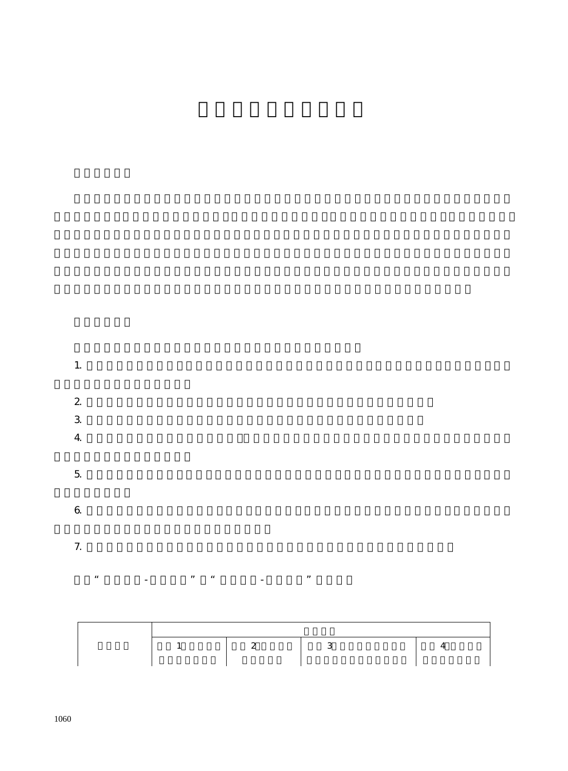

 $4.$ 

 $2 \leq$  $3.$ 

1.  $\blacksquare$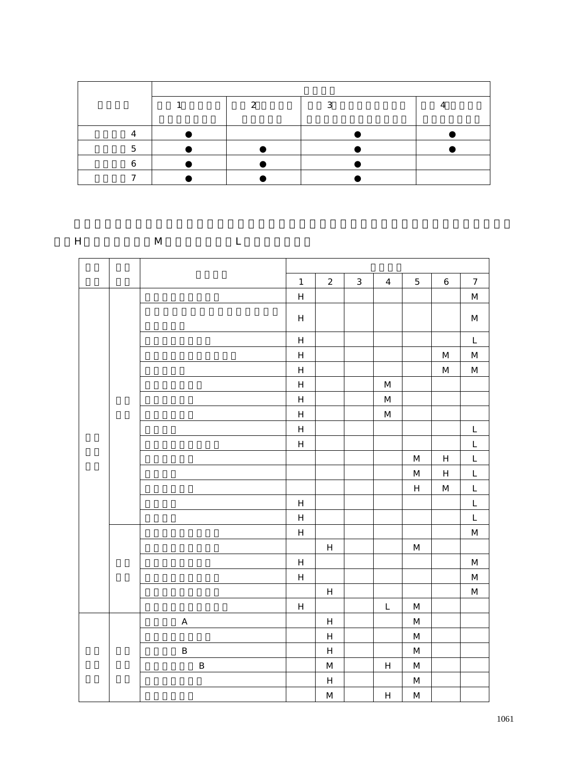|  | $\sqrt{2}$ |  |
|--|------------|--|
|  |            |  |
|  |            |  |
|  |            |  |
|  |            |  |
|  |            |  |

 $\frac{1}{\sqrt{2}}$  and  $\frac{1}{\sqrt{2}}$  and  $\frac{1}{\sqrt{2}}$  and  $\frac{1}{\sqrt{2}}$  and  $\frac{1}{\sqrt{2}}$  and  $\frac{1}{\sqrt{2}}$  and  $\frac{1}{\sqrt{2}}$  and  $\frac{1}{\sqrt{2}}$  and  $\frac{1}{\sqrt{2}}$  and  $\frac{1}{\sqrt{2}}$  and  $\frac{1}{\sqrt{2}}$  and  $\frac{1}{\sqrt{2}}$  and  $\frac{1}{\sqrt{2}}$  and

 $H$ , M  $L$ 

|  |             | $\mathbf{1}$              | $\overline{2}$            | $\mathfrak{Z}$ | $\overline{4}$                                                                                             | $\mathbf 5$                                                                                                | $\boldsymbol{6}$                                                                                           | $\overline{7}$                                                                                             |
|--|-------------|---------------------------|---------------------------|----------------|------------------------------------------------------------------------------------------------------------|------------------------------------------------------------------------------------------------------------|------------------------------------------------------------------------------------------------------------|------------------------------------------------------------------------------------------------------------|
|  |             | $\boldsymbol{\mathsf{H}}$ |                           |                |                                                                                                            |                                                                                                            |                                                                                                            | $\mathsf{M}% _{T}=\mathsf{M}_{T}\!\left( a,b\right) ,\ \mathsf{M}_{T}=\mathsf{M}_{T}\!\left( a,b\right) ,$ |
|  |             | $\boldsymbol{\mathsf{H}}$ |                           |                |                                                                                                            |                                                                                                            |                                                                                                            | $\mathsf{M}% _{T}=\mathsf{M}_{T}\!\left( a,b\right) ,\ \mathsf{M}_{T}=\mathsf{M}_{T}\!\left( a,b\right) ,$ |
|  |             | $\boldsymbol{\mathsf{H}}$ |                           |                |                                                                                                            |                                                                                                            |                                                                                                            | $\mathsf L$                                                                                                |
|  |             | $\boldsymbol{\mathsf{H}}$ |                           |                |                                                                                                            |                                                                                                            | $\mathsf{M}% _{T}=\mathsf{M}_{T}\!\left( a,b\right) ,\ \mathsf{M}_{T}=\mathsf{M}_{T}\!\left( a,b\right) ,$ | $\mathsf{M}% _{T}=\mathsf{M}_{T}\!\left( a,b\right) ,\ \mathsf{M}_{T}=\mathsf{M}_{T}\!\left( a,b\right) ,$ |
|  |             | $\boldsymbol{\mathsf{H}}$ |                           |                |                                                                                                            |                                                                                                            | ${\sf M}$                                                                                                  | $\mathsf{M}% _{T}=\mathsf{M}_{T}\!\left( a,b\right) ,\ \mathsf{M}_{T}=\mathsf{M}_{T}\!\left( a,b\right) ,$ |
|  |             | $\boldsymbol{\mathsf{H}}$ |                           |                | $\mathsf{M}% _{T}=\mathsf{M}_{T}\!\left( a,b\right) ,\ \mathsf{M}_{T}=\mathsf{M}_{T}\!\left( a,b\right) ,$ |                                                                                                            |                                                                                                            |                                                                                                            |
|  |             | $\boldsymbol{\mathsf{H}}$ |                           |                | $\mathsf{M}% _{T}=\mathsf{M}_{T}\!\left( a,b\right) ,\ \mathsf{M}_{T}=\mathsf{M}_{T}\!\left( a,b\right) ,$ |                                                                                                            |                                                                                                            |                                                                                                            |
|  |             | $\boldsymbol{\mathsf{H}}$ |                           |                | $\mathsf{M}% _{T}=\mathsf{M}_{T}\!\left( a,b\right) ,\ \mathsf{M}_{T}=\mathsf{M}_{T}\!\left( a,b\right) ,$ |                                                                                                            |                                                                                                            |                                                                                                            |
|  |             | $\boldsymbol{\mathsf{H}}$ |                           |                |                                                                                                            |                                                                                                            |                                                                                                            | $\mathsf L$                                                                                                |
|  |             | $\boldsymbol{\mathsf{H}}$ |                           |                |                                                                                                            |                                                                                                            |                                                                                                            | $\mathsf L$                                                                                                |
|  |             |                           |                           |                |                                                                                                            | ${\sf M}$                                                                                                  | $\boldsymbol{\mathsf{H}}$                                                                                  | $\mathsf L$                                                                                                |
|  |             |                           |                           |                |                                                                                                            | ${\sf M}$                                                                                                  | $\boldsymbol{\mathsf{H}}$                                                                                  | $\mathsf L$                                                                                                |
|  |             |                           |                           |                |                                                                                                            | $\mathsf H$                                                                                                | $\mathsf{M}% _{T}=\mathsf{M}_{T}\!\left( a,b\right) ,\ \mathsf{M}_{T}=\mathsf{M}_{T}\!\left( a,b\right) ,$ | $\mathsf L$                                                                                                |
|  |             | $\boldsymbol{\mathsf{H}}$ |                           |                |                                                                                                            |                                                                                                            |                                                                                                            | $\mathsf L$                                                                                                |
|  |             | $\boldsymbol{\mathsf{H}}$ |                           |                |                                                                                                            |                                                                                                            |                                                                                                            | $\mathsf L$                                                                                                |
|  |             | $\boldsymbol{\mathsf{H}}$ |                           |                |                                                                                                            |                                                                                                            |                                                                                                            | $\mathsf{M}% _{T}=\mathsf{M}_{T}\!\left( a,b\right) ,\ \mathsf{M}_{T}=\mathsf{M}_{T}\!\left( a,b\right) ,$ |
|  |             |                           | $\boldsymbol{\mathsf{H}}$ |                |                                                                                                            | ${\sf M}$                                                                                                  |                                                                                                            |                                                                                                            |
|  |             | $\boldsymbol{\mathsf{H}}$ |                           |                |                                                                                                            |                                                                                                            |                                                                                                            | $\mathsf{M}% _{T}=\mathsf{M}_{T}\!\left( a,b\right) ,\ \mathsf{M}_{T}=\mathsf{M}_{T}\!\left( a,b\right) ,$ |
|  |             | $\boldsymbol{\mathsf{H}}$ |                           |                |                                                                                                            |                                                                                                            |                                                                                                            | $\mathsf{M}% _{T}=\mathsf{M}_{T}\!\left( a,b\right) ,\ \mathsf{M}_{T}=\mathsf{M}_{T}\!\left( a,b\right) ,$ |
|  |             |                           | $\boldsymbol{\mathsf{H}}$ |                |                                                                                                            |                                                                                                            |                                                                                                            | ${\sf M}$                                                                                                  |
|  |             | $\boldsymbol{\mathsf{H}}$ |                           |                | $\mathsf L$                                                                                                | $\mathsf{M}% _{T}=\mathsf{M}_{T}\!\left( a,b\right) ,\ \mathsf{M}_{T}=\mathsf{M}_{T}\!\left( a,b\right) ,$ |                                                                                                            |                                                                                                            |
|  | $\mathsf A$ |                           | $\boldsymbol{\mathsf{H}}$ |                |                                                                                                            | $\mathsf{M}% _{T}=\mathsf{M}_{T}\!\left( a,b\right) ,\ \mathsf{M}_{T}=\mathsf{M}_{T}\!\left( a,b\right) ,$ |                                                                                                            |                                                                                                            |
|  |             |                           | $\boldsymbol{\mathsf{H}}$ |                |                                                                                                            | ${\sf M}$                                                                                                  |                                                                                                            |                                                                                                            |
|  | $\sf B$     |                           | $\boldsymbol{\mathsf{H}}$ |                |                                                                                                            | $\mathsf{M}% _{T}=\mathsf{M}_{T}\!\left( a,b\right) ,\ \mathsf{M}_{T}=\mathsf{M}_{T}\!\left( a,b\right) ,$ |                                                                                                            |                                                                                                            |
|  | $\sf B$     |                           | ${\sf M}$                 |                | $\boldsymbol{\mathsf{H}}$                                                                                  | ${\sf M}$                                                                                                  |                                                                                                            |                                                                                                            |
|  |             |                           | $\boldsymbol{\mathsf{H}}$ |                |                                                                                                            | $\mathsf{M}% _{T}=\mathsf{M}_{T}\!\left( a,b\right) ,\ \mathsf{M}_{T}=\mathsf{M}_{T}\!\left( a,b\right) ,$ |                                                                                                            |                                                                                                            |
|  |             |                           | ${\sf M}$                 |                | $\boldsymbol{\mathsf{H}}$                                                                                  | $\mathsf{M}% _{T}=\mathsf{M}_{T}\!\left( a,b\right) ,\ \mathsf{M}_{T}=\mathsf{M}_{T}\!\left( a,b\right) ,$ |                                                                                                            |                                                                                                            |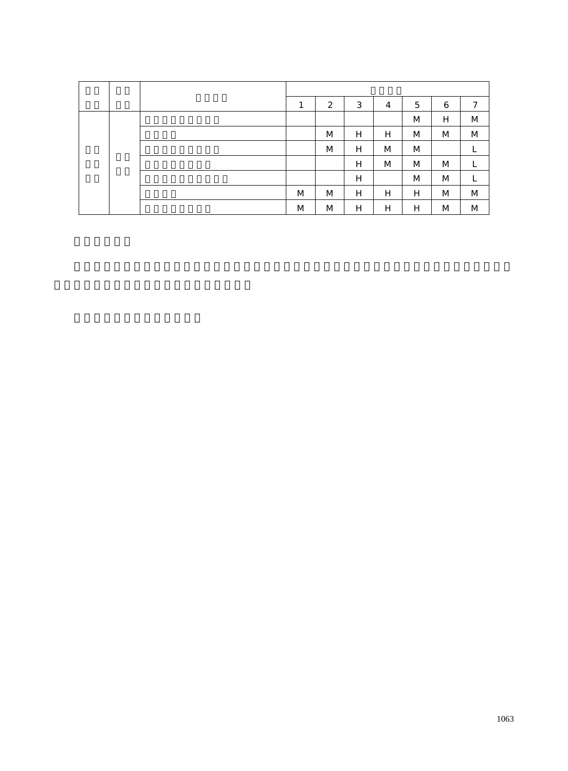|  | 1 | 2 | 3 | 4 | 5 | 6 |   |
|--|---|---|---|---|---|---|---|
|  |   |   |   |   | M | H | M |
|  |   | M | H | H | M | M | M |
|  |   | M | H | M | M |   |   |
|  |   |   | H | M | M | M |   |
|  |   |   | H |   | M | M |   |
|  | M | M | H | H | H | M | M |
|  | M | M | Н | H | H | M | M |

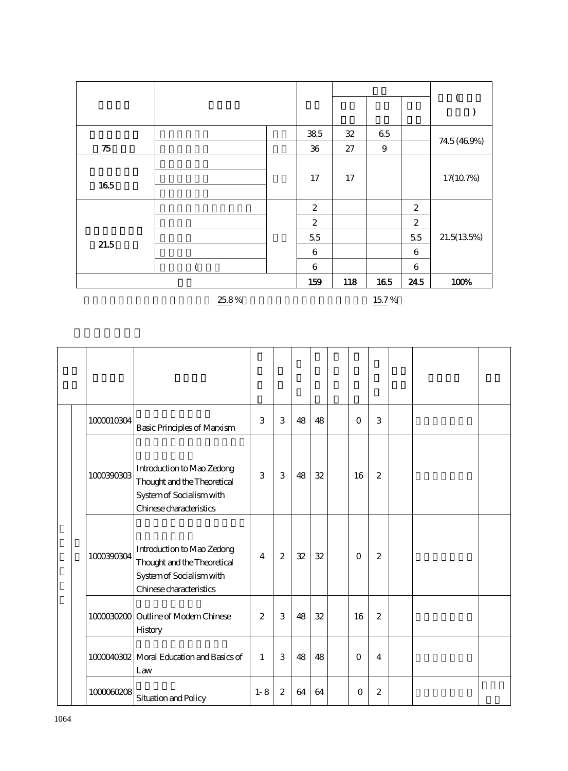|      |  | 38.5           | 32  | 6.5 |                |              |
|------|--|----------------|-----|-----|----------------|--------------|
| 75   |  | 36             | 27  | 9   |                | 74.5 (46.9%) |
| 165  |  | 17             | 17  |     |                | 17(10.7%)    |
|      |  | $\overline{2}$ |     |     | $\overline{2}$ |              |
|      |  | $\overline{2}$ |     |     | $\overline{2}$ |              |
| 21.5 |  | 5.5            |     |     | 5.5            | 21.5(13.5%)  |
|      |  | 6              |     |     | 6              |              |
|      |  | 6              |     |     | 6              |              |
|      |  | 159            | 118 | 165 | 24.5           | 100%         |

 $25.8\%$  , the contract of  $25.8\%$ 

|  | 1000010304 | <b>Basic Principles of Marxism</b>                                                                               | 3              | 3              | 48 | 48 | $\Omega$ | 3              |  |  |
|--|------------|------------------------------------------------------------------------------------------------------------------|----------------|----------------|----|----|----------|----------------|--|--|
|  | 1000390303 | Introduction to Mao Zedong<br>Thought and the Theoretical<br>System of Socialism with<br>Chinese characteristics | 3              | 3              | 48 | 32 | 16       | 2              |  |  |
|  | 1000390304 | Introduction to Mao Zedong<br>Thought and the Theoretical<br>System of Socialism with<br>Chinese characteristics | $\overline{4}$ | $\overline{2}$ | 32 | 32 | $\Omega$ | $\overline{2}$ |  |  |
|  |            | 1000030200 Outline of Modern Chinese<br>History                                                                  | 2              | 3              | 48 | 32 | 16       | 2              |  |  |
|  |            | 1000040302 Moral Education and Basics of<br>Law                                                                  | 1              | 3              | 48 | 48 | $\Omega$ | $\overline{4}$ |  |  |
|  | 1000060208 | Situation and Policy                                                                                             | $1 - 8$        | $\overline{2}$ | 64 | 64 | $\circ$  | $\overline{2}$ |  |  |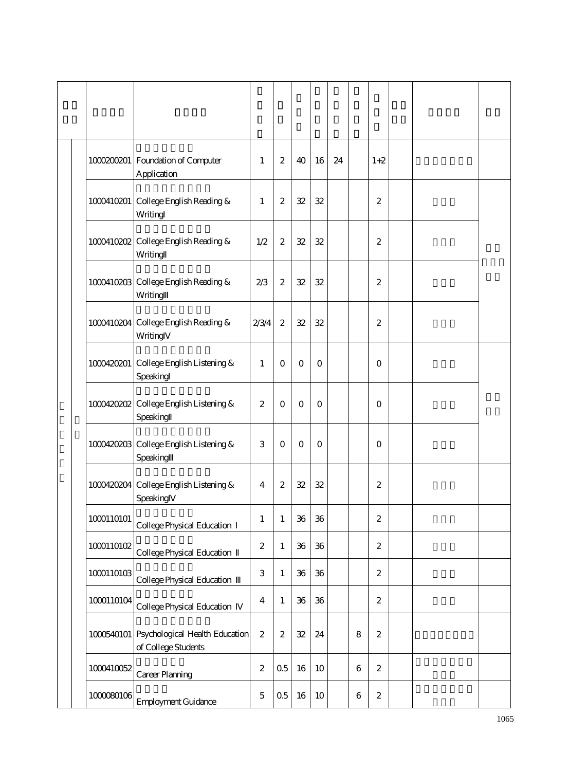|            | 1000200201 Foundation of Computer<br>Application      | $\mathbf{1}$   | 2              | 40             | 16       | 24 |   | $1+2$          |  |  |
|------------|-------------------------------------------------------|----------------|----------------|----------------|----------|----|---|----------------|--|--|
| 1000410201 | College English Reading &<br>Writing                  | $\mathbf{1}$   | 2              | 32             | 32       |    |   | $\overline{2}$ |  |  |
|            | 1000410202 College English Reading &<br>Writing       | 1/2            | $\overline{2}$ | 32             | 32       |    |   | $\overline{2}$ |  |  |
|            | 1000410203 College English Reading &<br>Writing       | 2/3            | 2              | 32             | 32       |    |   | $\overline{2}$ |  |  |
|            | 1000410204 College English Reading &<br>Writing       | 2/3/4          | $\overline{2}$ | 32             | 32       |    |   | $\overline{2}$ |  |  |
| 1000420201 | College English Listening &<br>Speaking               | $\mathbf{1}$   | $\Omega$       | $\Omega$       | $\Omega$ |    |   | $\mathsf O$    |  |  |
|            | 1000420202 College English Listening &<br>Speaking    | 2              | $\mathsf{O}$   | $\mathbf{O}$   | $\Omega$ |    |   | $\mathsf O$    |  |  |
|            | 1000420203 College English Listening &<br>Speaking    | 3              | $\Omega$       | $\overline{O}$ | 0        |    |   | $\mathsf O$    |  |  |
|            | 1000420204 College English Listening &<br>Speaking    | 4              | 2              | 32             | 32       |    |   | $\overline{2}$ |  |  |
| 1000110101 | College Physical Education                            | 1              | 1              | 36             | 36       |    |   | $\overline{2}$ |  |  |
| 1000110102 | College Physical Education                            | $\overline{2}$ | 1              | 36             | 36       |    |   | $\overline{2}$ |  |  |
| 1000110103 | College Physical Education                            | 3              | 1              | 36             | 36       |    |   | $\overline{2}$ |  |  |
| 1000110104 | College Physical Education                            | $\overline{4}$ | 1              | 36             | 36       |    |   | $\overline{2}$ |  |  |
| 1000540101 | Psychological Health Education<br>of College Students | $\overline{2}$ | $\overline{2}$ | 32             | 24       |    | 8 | $\overline{2}$ |  |  |
| 1000410052 | Career Planning                                       | $\overline{2}$ | 0.5            | 16             | 10       |    | 6 | $\overline{2}$ |  |  |
| 1000080106 | Employment Guidance                                   | 5              | 0.5            | 16             | 10       |    | 6 | $\overline{2}$ |  |  |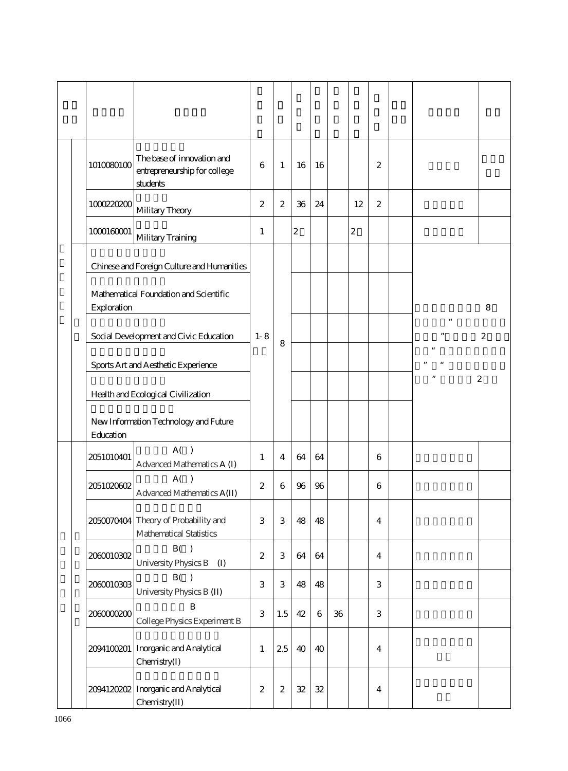| 1010080100  | The base of innovation and<br>entrepreneurship for college<br>students | 6              | 1              | 16             | 16 |    |    | $\overline{2}$ |                                  |                |
|-------------|------------------------------------------------------------------------|----------------|----------------|----------------|----|----|----|----------------|----------------------------------|----------------|
| 1000220200  | Military Theory                                                        | $\overline{2}$ | $\overline{2}$ | 36             | 24 |    | 12 | $\overline{2}$ |                                  |                |
| 1000160001  | Military Training                                                      | 1              |                | $\overline{2}$ |    |    | 2  |                |                                  |                |
|             | Chinese and Foreign Culture and Humanities                             |                |                |                |    |    |    |                |                                  |                |
| Exploration | Mathematical Foundation and Scientific                                 |                |                |                |    |    |    |                |                                  | 8              |
|             | Social Development and Civic Education                                 | $1 - 8$        | 8              |                |    |    |    |                | $\boldsymbol{u}$<br>$\mathbf{u}$ | 2              |
|             | Sports A rt and A esthetic Experience                                  |                |                |                |    |    |    |                |                                  |                |
|             | Health and Ecological Civilization                                     |                |                |                |    |    |    |                |                                  | $\overline{2}$ |
| Education   | New Information Technology and Future                                  |                |                |                |    |    |    |                |                                  |                |
| 2051010401  | A( )<br>A dvanced Mathematics A (I)                                    | 1              | 4              | 64             | 64 |    |    | 6              |                                  |                |
| 2051020602  | A( )<br>A dvanced Mathematics A (II)                                   | $\overline{2}$ | 6              | 96             | 96 |    |    | 6              |                                  |                |
|             | 2050070404 Theory of Probability and<br>Mathematical Statistics        | 3              | 3              | 48             | 48 |    |    | 4              |                                  |                |
| 2060010302  | B( )<br>University Physics B (I)                                       | $\overline{2}$ | 3              | 64             | 64 |    |    | 4              |                                  |                |
| 2060010303  | B( )<br>University Physics B (II)                                      | 3              | 3              | 48             | 48 |    |    | 3              |                                  |                |
| 2060000200  | B<br>College Physics Experiment B                                      | 3              | 1.5            | 42             | 6  | 36 |    | 3              |                                  |                |
| 2094100201  | Inorganic and A nalytical<br>Chemistry(I)                              | 1              | 25             | 40             | 40 |    |    | $\overline{4}$ |                                  |                |
|             | 2094120202   Inorganic and A nalytical<br>Chemistry(II)                | $\overline{2}$ | $\overline{2}$ | 32             | 32 |    |    | $\overline{4}$ |                                  |                |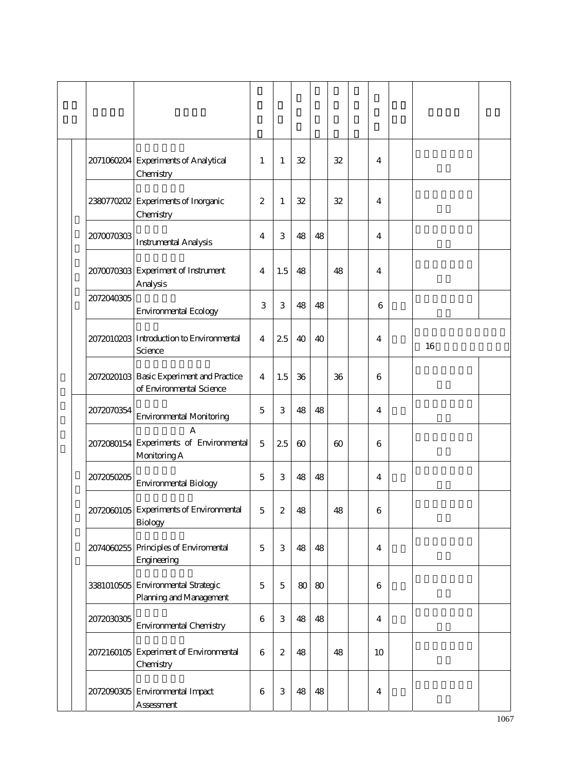|            | 2071060204 Experiments of Analytical<br>Chemistry                         | $\mathbf{1}$ | 1              | 32 |    | 32 | 4              |    |  |
|------------|---------------------------------------------------------------------------|--------------|----------------|----|----|----|----------------|----|--|
|            | 2380770202 Experiments of Inorganic<br>Chemistry                          | 2            | 1              | 32 |    | 32 | $\overline{4}$ |    |  |
| 2070070303 | Instrumental Analysis                                                     | 4            | 3              | 48 | 48 |    | 4              |    |  |
|            | 2070070303 Experiment of Instrument<br>Analysis                           | 4            | 1.5            | 48 |    | 48 | 4              |    |  |
| 2072040305 | Environmental Ecology                                                     | 3            | 3              | 48 | 48 |    | 6              |    |  |
|            | 2072010203 Introduction to Environmental<br>Science                       | 4            | 25             | 40 | 40 |    | 4              | 16 |  |
|            | 2072020103 Basic Experiment and Practice<br>of Environmental Science      | 4            | 1.5            | 36 |    | 36 | 6              |    |  |
| 2072070354 | Environmental Monitoring                                                  | 5            | 3              | 48 | 48 |    | $\overline{4}$ |    |  |
|            | $\overline{A}$<br>2072080154 Experiments of Environmental<br>Monitoring A | 5            | 25             | 60 |    | 60 | 6              |    |  |
| 2072050205 | Environmental Biology                                                     | 5            | 3              | 48 | 48 |    | $\overline{4}$ |    |  |
|            | 2072060105 Experiments of Environmental<br>Biology                        | 5            | 2              | 48 |    | 48 | 6              |    |  |
|            | 2074060255 Principles of Enviromental<br>Engineering                      | 5            | 3              | 48 | 48 |    | 4              |    |  |
|            | 3381010505 Environmental Strategic<br>Planning and Management             | 5            | 5              | 80 | 80 |    | 6              |    |  |
| 2072030305 | Environmental Chemistry                                                   | 6            | 3              | 48 | 48 |    | 4              |    |  |
|            | 2072160105 Experiment of Environmental<br>Chemistry                       | 6            | $\overline{2}$ | 48 |    | 48 | 10             |    |  |
|            | 2072090305 Environmental Impact<br>A ssessment                            | 6            | 3              | 48 | 48 |    | 4              |    |  |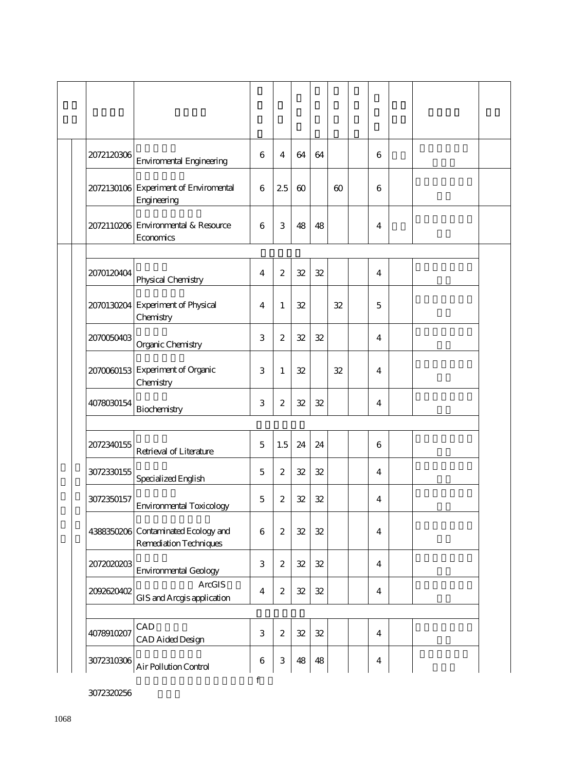| 2072120306 | Enviromental Engineering                                      | 6              | 4              | 64 | 64 |    | 6              |  |  |
|------------|---------------------------------------------------------------|----------------|----------------|----|----|----|----------------|--|--|
|            | 2072130106 Experiment of Enviromental<br>Engineering          | 6              | 25             | 60 |    | 60 | 6              |  |  |
|            | 2072110206 Environmental & Resource<br>Economics              | 6              | 3              | 48 | 48 |    | $\overline{4}$ |  |  |
| 2070120404 |                                                               | 4              | $\overline{2}$ | 32 | 32 |    | $\overline{4}$ |  |  |
|            | Physical Chemistry                                            |                |                |    |    |    |                |  |  |
|            | 2070130204 Experiment of Physical<br>Chemistry                | $\overline{4}$ | 1              | 32 |    | 32 | 5              |  |  |
| 2070050403 | Organic Chemistry                                             | 3              | $\overline{2}$ | 32 | 32 |    | 4              |  |  |
|            | 2070060153 Experiment of Organic<br>Chemistry                 | 3              | $\mathbf{1}$   | 32 |    | 32 | 4              |  |  |
| 4078030154 | Biochemistry                                                  | 3              | $\overline{2}$ | 32 | 32 |    | 4              |  |  |
|            |                                                               |                |                |    |    |    |                |  |  |
| 2072340155 | Retrieval of Literature                                       | 5              | 1.5            | 24 | 24 |    | 6              |  |  |
| 3072330155 | Specialized English                                           | 5              | $\overline{2}$ | 32 | 32 |    | $\overline{4}$ |  |  |
| 3072350157 | Environmental Toxicology                                      | 5              | $\overline{2}$ | 32 | 32 |    | 4              |  |  |
|            | 4388350206 Contaminated Ecology and<br>Remediation Techniques | 6              | $\overline{2}$ | 32 | 32 |    | $\overline{4}$ |  |  |
| 2072020203 | Environmental Geology                                         | $\mathfrak{Z}$ | $\overline{2}$ | 32 | 32 |    | $\overline{4}$ |  |  |
| 2092620402 | ArcGIS<br>GIS and A rcgis application                         | $\overline{4}$ | $\overline{2}$ | 32 | 32 |    | 4              |  |  |
| 4078910207 | CAD<br>CAD Aided Design                                       | 3              | $\overline{2}$ | 32 | 32 |    | 4              |  |  |
| 3072310306 | Air Pollution Control<br>$\mathsf O$                          | 6              | $\sqrt{3}$     | 48 | 48 |    | 4              |  |  |

3072320256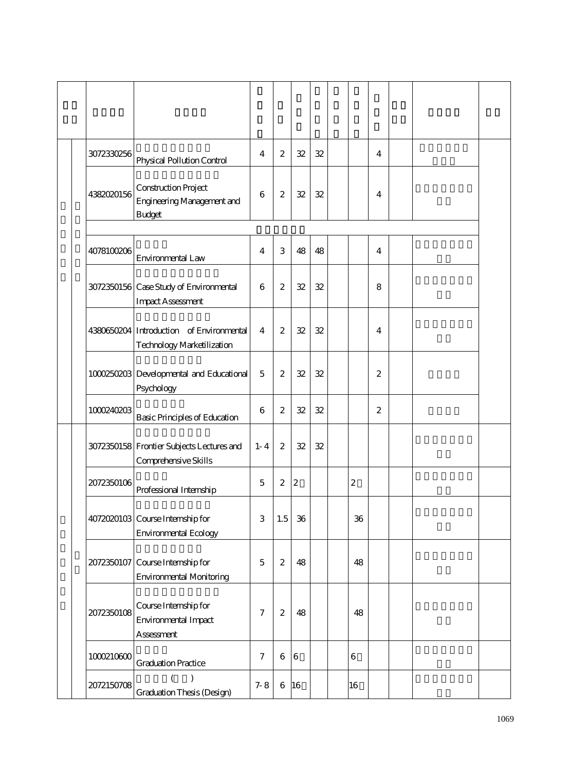| 3072330256 | Physical Pollution Control                                                 | 4              | $\overline{2}$ | 32             | 32 |                | 4              |  |  |
|------------|----------------------------------------------------------------------------|----------------|----------------|----------------|----|----------------|----------------|--|--|
| 4382020156 | <b>Construction Project</b><br>Engineering Management and<br><b>Budget</b> | 6              | $\overline{2}$ | 32             | 32 |                | 4              |  |  |
| 4078100206 | Environmental Law                                                          | 4              | 3              | 48             | 48 |                | 4              |  |  |
|            | 3072350156 Case Study of Environmental<br>Impact A ssessment               | 6              | $\overline{2}$ | 32             | 32 |                | 8              |  |  |
|            | 4380650204 Introduction of Environmental<br>Technology Marketilization     | 4              | $\overline{2}$ | 32             | 32 |                | 4              |  |  |
|            | 1000250203 Developmental and Educational<br>Psychology                     | 5              | $\overline{2}$ | 32             | 32 |                | $\overline{2}$ |  |  |
| 1000240203 | Basic Principles of Education                                              | 6              | $\overline{2}$ | 32             | 32 |                | 2              |  |  |
|            | 3072350158   Frontier Subjects Lectures and<br>Comprehensive Skills        | $1 - 4$        | $\overline{2}$ | 32             | 32 |                |                |  |  |
| 2072350106 | Professional Internship                                                    | 5              | $\overline{2}$ | $\overline{2}$ |    | $\overline{2}$ |                |  |  |
|            | 4072020103 Course Internship for<br>Environmental Ecology                  | 3              | 1.5            | 36             |    | 36             |                |  |  |
|            | 2072350107 Course Internship for<br>Environmental Monitoring               | 5              | $\overline{2}$ | 48             |    | 48             |                |  |  |
| 2072350108 | Course Internship for<br>Environmental Impact<br>A ssessment               | $\overline{7}$ | $\overline{2}$ | 48             |    | 48             |                |  |  |
| 1000210600 | <b>Graduation Practice</b>                                                 | $\overline{7}$ | 6              | 6              |    | 6              |                |  |  |
| 2072150708 | $\mathcal{E}$<br>$\left($<br>Graduation Thesis (Design)                    | $7 - 8$        | 6              | 16             |    | 16             |                |  |  |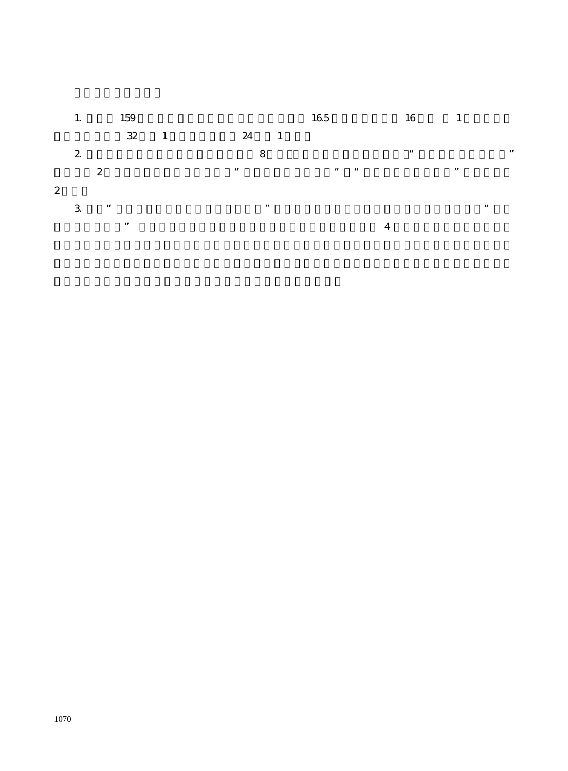|   | 1.            |                | 159                       |                |                  |              | 16.5                          |  | 16           | 1 |                  |                           |
|---|---------------|----------------|---------------------------|----------------|------------------|--------------|-------------------------------|--|--------------|---|------------------|---------------------------|
|   |               |                | 32                        | $\overline{1}$ | 24               | $\mathbf{1}$ |                               |  |              |   |                  |                           |
|   | $\mathcal{P}$ |                |                           |                | 8                |              |                               |  | $\mathbf{u}$ |   |                  | $\boldsymbol{\mathsf{H}}$ |
|   |               | ≘              |                           |                | $\boldsymbol{u}$ |              | $\mathbf{u}$ and $\mathbf{u}$ |  | $\mathbf{u}$ |   |                  |                           |
| ◠ |               |                |                           |                |                  |              |                               |  |              |   |                  |                           |
|   | $\mathcal{S}$ | $\overline{u}$ |                           |                | $\overline{u}$   |              |                               |  |              |   | $\boldsymbol{u}$ |                           |
|   |               |                | $\boldsymbol{\mathsf{H}}$ |                |                  |              |                               |  |              |   |                  |                           |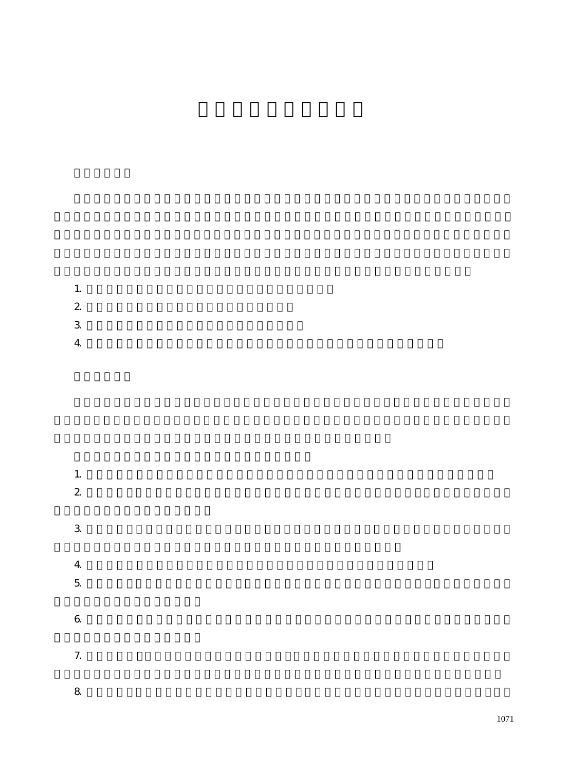## 1071

 $4.$  $5.$  $6.$ 

 $7.$ 

 $8.$ 

- $3.$
- 1.  $\blacksquare$  $2.$
- 
- $4.$
- 1.  $\blacksquare$  $2 \,$  $3.$
- 
- 
- 
- - -
- 
- 
- 
- 
- - -
- 
- 
- 
- 
- -
- 
- 
- 
- 
-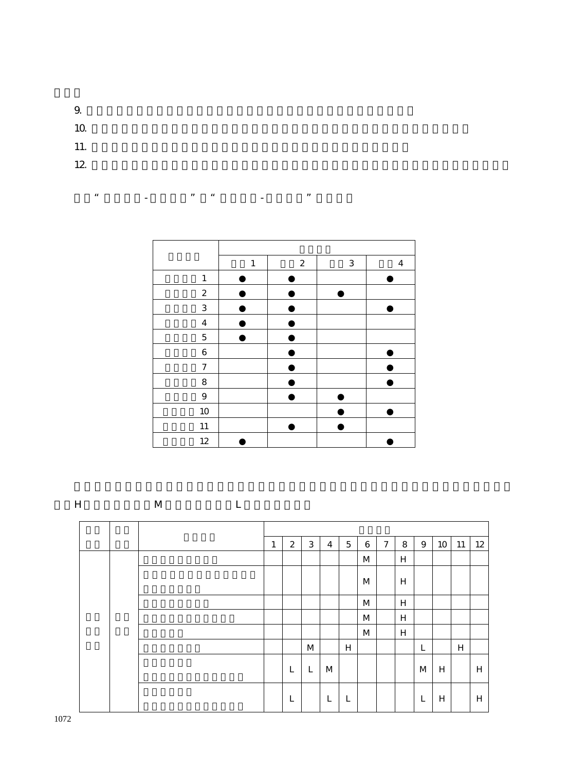9.  $\blacksquare$ 

 $10.$ 

11.  $\blacksquare$ 

12.  $\blacksquare$ 

 $\frac{1}{2}$  and  $\frac{1}{2}$  and  $\frac{1}{2}$  and  $\frac{1}{2}$  and  $\frac{1}{2}$  and  $\frac{1}{2}$  and  $\frac{1}{2}$  and  $\frac{1}{2}$  and  $\frac{1}{2}$  and  $\frac{1}{2}$  and  $\frac{1}{2}$  and  $\frac{1}{2}$  and  $\frac{1}{2}$  and  $\frac{1}{2}$  and  $\frac{1}{2}$  and  $\frac{1}{2}$  a



|                | $\mathbf{1}$ | $\overline{2}$ | $\ensuremath{\mathsf{3}}$ | $\sqrt{4}$ |
|----------------|--------------|----------------|---------------------------|------------|
| 1              |              |                |                           |            |
| $\overline{c}$ |              |                |                           |            |
| $\mathsf 3$    |              |                |                           |            |
| $\overline{4}$ |              |                |                           |            |
| 5              |              |                |                           |            |
| $\epsilon$     |              |                |                           |            |
| $\overline{7}$ |              |                |                           |            |
| 8              |              |                |                           |            |
| 9              |              |                |                           |            |
| 10             |              |                |                           |            |
| 11             |              |                |                           |            |
| 12             |              |                |                           |            |

 $\|H\|$  and  $\|H\|$  and  $\|H\|$  and  $\|H\|$ 

 $H$ , M  $L$ 

课程 毕业要求 1 2 3 4 5 6 7 8 9 10 11 12 and M H H H H M H H H H H H M H H H M 义理论体系概论 M H 中国近现代史纲要 M H example and the set of the M H M H M H H 形势与政策 M H e and the set of the set of the set of the set of the set of the set of the set of the set of the set of the s (一)(二)(三)(四) L L M M H H  $\begin{bmatrix} \begin{bmatrix} 1 & 1 & 1 \\ 1 & 1 & 1 \end{bmatrix} & \begin{bmatrix} 1 & 1 & 1 \\ 1 & 1 & 1 \end{bmatrix} & \begin{bmatrix} 1 & 1 & 1 \\ 1 & 1 & 1 \end{bmatrix} \end{bmatrix}$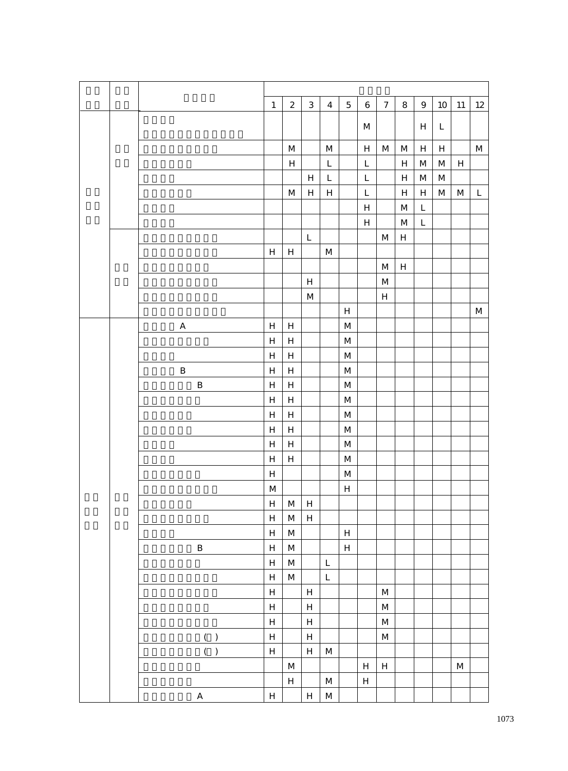|  |              |             | $\overline{1}$                 | $\overline{2}$            | $\mathbf{3}$                   | $\overline{4}$ | 5                         | 6                         | $7\overline{ }$        | 8 <sup>1</sup>            | 9                         | 10 <sup>1</sup> | 11                        | 12          |
|--|--------------|-------------|--------------------------------|---------------------------|--------------------------------|----------------|---------------------------|---------------------------|------------------------|---------------------------|---------------------------|-----------------|---------------------------|-------------|
|  |              |             |                                |                           |                                |                |                           |                           |                        |                           |                           |                 |                           |             |
|  |              |             |                                |                           |                                |                |                           | ${\sf M}$                 |                        |                           | H                         | L               |                           |             |
|  |              |             |                                | ${\sf M}$                 |                                | ${\sf M}$      |                           | $\boldsymbol{\mathsf{H}}$ | M                      | M                         | $\mathsf H$               | $\mathsf{H}$    |                           | M           |
|  |              |             |                                | $\boldsymbol{\mathsf{H}}$ |                                | $\mathsf{L}$   |                           | $\mathsf{L}$              |                        | H                         | ${\sf M}$                 | ${\sf M}$       | $\boldsymbol{\mathsf{H}}$ |             |
|  |              |             |                                |                           | H                              | L.             |                           | $\mathsf L$               |                        | $\boldsymbol{\mathsf{H}}$ | ${\sf M}$                 | ${\sf M}$       |                           |             |
|  |              |             |                                | ${\sf M}$                 | $\boldsymbol{\mathsf{H}}$      | H              |                           | $\mathsf L$               |                        | $\boldsymbol{\mathsf{H}}$ | $\boldsymbol{\mathsf{H}}$ | ${\sf M}$       | M                         | $\mathsf L$ |
|  |              |             |                                |                           |                                |                |                           | $\boldsymbol{\mathsf{H}}$ |                        | ${\sf M}$                 | $\mathsf L$               |                 |                           |             |
|  |              |             |                                |                           |                                |                |                           | $\boldsymbol{\mathsf{H}}$ |                        | ${\sf M}$                 | $\mathsf{L}$              |                 |                           |             |
|  |              |             |                                |                           | $\mathsf{L}$                   |                |                           |                           | M                      | H                         |                           |                 |                           |             |
|  |              |             | H                              | $\boldsymbol{\mathsf{H}}$ |                                | M              |                           |                           |                        |                           |                           |                 |                           |             |
|  |              |             |                                |                           |                                |                |                           |                           | $M \mid H$             |                           |                           |                 |                           |             |
|  |              |             |                                |                           | $\mathsf H$                    |                |                           |                           | ${\sf M}$              |                           |                           |                 |                           |             |
|  |              |             |                                |                           | ${\sf M}$                      |                | $\boldsymbol{\mathsf{H}}$ |                           | H                      |                           |                           |                 |                           | ${\sf M}$   |
|  | $\mathsf{A}$ |             | H                              | $\boldsymbol{\mathsf{H}}$ |                                |                | ${\sf M}$                 |                           |                        |                           |                           |                 |                           |             |
|  |              |             | $\boldsymbol{\mathsf{H}}$      | H                         |                                |                | ${\sf M}$                 |                           |                        |                           |                           |                 |                           |             |
|  |              |             | H                              | $\mathsf H$               |                                |                | ${\sf M}$                 |                           |                        |                           |                           |                 |                           |             |
|  | $\sf B$      |             | $\boldsymbol{\mathsf{H}}$      | $\mathsf H$               |                                |                | ${\sf M}$                 |                           |                        |                           |                           |                 |                           |             |
|  |              | $\sf B$     | $\boldsymbol{\mathsf{H}}$      | $\boldsymbol{\mathsf{H}}$ |                                |                | ${\sf M}$                 |                           |                        |                           |                           |                 |                           |             |
|  |              |             | $\mathsf H$                    | $\boldsymbol{\mathsf{H}}$ |                                |                | ${\sf M}$                 |                           |                        |                           |                           |                 |                           |             |
|  |              |             | H                              | $\mathsf H$               |                                |                | ${\sf M}$                 |                           |                        |                           |                           |                 |                           |             |
|  |              |             | $\boldsymbol{\mathsf{H}}$      | H                         |                                |                | ${\sf M}$                 |                           |                        |                           |                           |                 |                           |             |
|  |              |             | $\boldsymbol{\mathsf{H}}$      | $\mathsf H$               |                                |                | ${\sf M}$                 |                           |                        |                           |                           |                 |                           |             |
|  |              |             | $\boldsymbol{\mathsf{H}}$      | H                         |                                |                | ${\sf M}$                 |                           |                        |                           |                           |                 |                           |             |
|  |              |             | $\mathsf H$                    |                           |                                |                | ${\sf M}$                 |                           |                        |                           |                           |                 |                           |             |
|  |              |             | ${\sf M}$                      |                           |                                |                | H                         |                           |                        |                           |                           |                 |                           |             |
|  |              |             |                                | $H$ M H                   |                                |                |                           |                           |                        |                           |                           |                 |                           |             |
|  |              |             | H                              | ${\sf M}$                 | H                              |                |                           |                           |                        |                           |                           |                 |                           |             |
|  |              |             | H                              | ${\sf M}$                 |                                |                | $\mathsf H$               |                           |                        |                           |                           |                 |                           |             |
|  |              | $\sf B$     | H                              | ${\sf M}$                 |                                |                | $\boldsymbol{\mathsf{H}}$ |                           |                        |                           |                           |                 |                           |             |
|  |              |             | H                              | ${\sf M}$                 |                                | L              |                           |                           |                        |                           |                           |                 |                           |             |
|  |              |             | $\boldsymbol{\mathsf{H}}$      | ${\sf M}$                 |                                | L              |                           |                           |                        |                           |                           |                 |                           |             |
|  |              |             | H                              |                           | H                              |                |                           |                           | ${\sf M}$              |                           |                           |                 |                           |             |
|  |              |             | H<br>$\boldsymbol{\mathsf{H}}$ |                           | H<br>$\boldsymbol{\mathsf{H}}$ |                |                           |                           | ${\sf M}$<br>${\sf M}$ |                           |                           |                 |                           |             |
|  |              |             | H                              |                           | H                              |                |                           |                           | ${\sf M}$              |                           |                           |                 |                           |             |
|  |              |             | $\mathsf H$                    |                           | $\boldsymbol{\mathsf{H}}$      | ${\sf M}$      |                           |                           |                        |                           |                           |                 |                           |             |
|  |              |             |                                | ${\sf M}$                 |                                |                |                           | $\boldsymbol{\mathsf{H}}$ | H                      |                           |                           |                 | M                         |             |
|  |              |             |                                | H                         |                                | M              |                           | $\boldsymbol{\mathsf{H}}$ |                        |                           |                           |                 |                           |             |
|  |              | $\mathsf A$ | $\boldsymbol{\mathsf{H}}$      |                           | $\boldsymbol{\mathsf{H}}$      | M              |                           |                           |                        |                           |                           |                 |                           |             |
|  |              |             |                                |                           |                                |                |                           |                           |                        |                           |                           |                 |                           |             |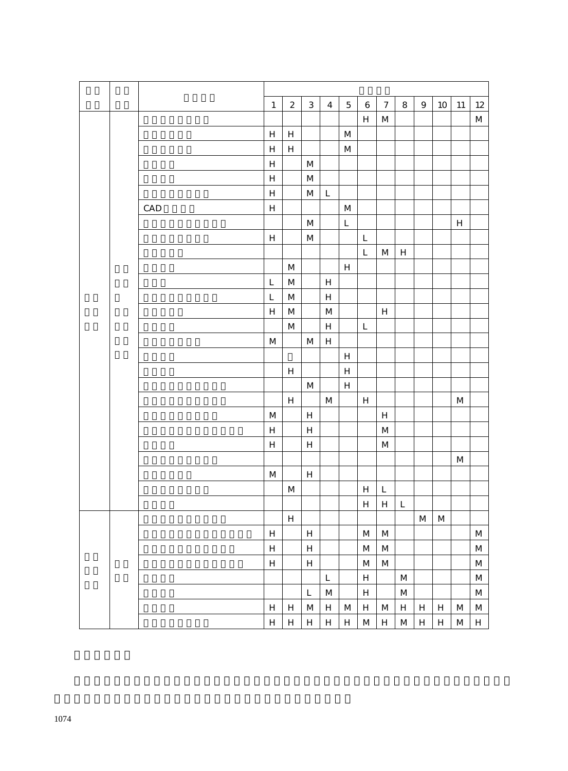|  |     | $\mathbf{1}$                                                                          | $\overline{2}$            | $\ensuremath{\mathsf{3}}$ | $\overline{4}$                                                                                             | 5                         | $\boldsymbol{6}$                                                                                           | $\overline{7}$            | 8                         | 9                         | 10                        | 11                        | 12        |
|--|-----|---------------------------------------------------------------------------------------|---------------------------|---------------------------|------------------------------------------------------------------------------------------------------------|---------------------------|------------------------------------------------------------------------------------------------------------|---------------------------|---------------------------|---------------------------|---------------------------|---------------------------|-----------|
|  |     |                                                                                       |                           |                           |                                                                                                            |                           | $\boldsymbol{\mathsf{H}}$                                                                                  | ${\sf M}$                 |                           |                           |                           |                           | ${\sf M}$ |
|  |     | H                                                                                     | H                         |                           |                                                                                                            | M                         |                                                                                                            |                           |                           |                           |                           |                           |           |
|  |     | H                                                                                     | H                         |                           |                                                                                                            | M                         |                                                                                                            |                           |                           |                           |                           |                           |           |
|  |     | $\boldsymbol{\mathsf{H}}$                                                             |                           | ${\sf M}$                 |                                                                                                            |                           |                                                                                                            |                           |                           |                           |                           |                           |           |
|  |     | $\boldsymbol{\mathsf{H}}$                                                             |                           | ${\sf M}$                 |                                                                                                            |                           |                                                                                                            |                           |                           |                           |                           |                           |           |
|  |     | $\boldsymbol{\mathsf{H}}$                                                             |                           | M                         | $\mathsf L$                                                                                                |                           |                                                                                                            |                           |                           |                           |                           |                           |           |
|  | CAD | $\boldsymbol{\mathsf{H}}$                                                             |                           |                           |                                                                                                            | M                         |                                                                                                            |                           |                           |                           |                           |                           |           |
|  |     |                                                                                       |                           | ${\sf M}$                 |                                                                                                            | L                         |                                                                                                            |                           |                           |                           |                           | $\boldsymbol{\mathsf{H}}$ |           |
|  |     | H                                                                                     |                           | ${\sf M}$                 |                                                                                                            |                           | $\mathsf L$                                                                                                |                           |                           |                           |                           |                           |           |
|  |     |                                                                                       |                           |                           |                                                                                                            |                           | $\mathsf L$                                                                                                | ${\sf M}$                 | $\boldsymbol{\mathsf{H}}$ |                           |                           |                           |           |
|  |     |                                                                                       | ${\sf M}$                 |                           |                                                                                                            | $\boldsymbol{\mathsf{H}}$ |                                                                                                            |                           |                           |                           |                           |                           |           |
|  |     | $\mathsf L$                                                                           | ${\sf M}$                 |                           | H                                                                                                          |                           |                                                                                                            |                           |                           |                           |                           |                           |           |
|  |     | L                                                                                     | ${\sf M}$                 |                           | $\boldsymbol{\mathsf{H}}$                                                                                  |                           |                                                                                                            |                           |                           |                           |                           |                           |           |
|  |     | H                                                                                     | ${\sf M}$                 |                           | $\mathsf{M}% _{T}=\mathsf{M}_{T}\!\left( a,b\right) ,\ \mathsf{M}_{T}=\mathsf{M}_{T}\!\left( a,b\right) ,$ |                           |                                                                                                            | $\boldsymbol{\mathsf{H}}$ |                           |                           |                           |                           |           |
|  |     |                                                                                       | ${\sf M}$                 |                           | $\boldsymbol{\mathsf{H}}$                                                                                  |                           | L                                                                                                          |                           |                           |                           |                           |                           |           |
|  |     | ${\sf M}$                                                                             |                           | ${\sf M}$                 | $\boldsymbol{\mathsf{H}}$                                                                                  |                           |                                                                                                            |                           |                           |                           |                           |                           |           |
|  |     |                                                                                       |                           |                           |                                                                                                            | $\boldsymbol{\mathsf{H}}$ |                                                                                                            |                           |                           |                           |                           |                           |           |
|  |     |                                                                                       | H                         |                           |                                                                                                            | $\boldsymbol{\mathsf{H}}$ |                                                                                                            |                           |                           |                           |                           |                           |           |
|  |     |                                                                                       |                           | ${\sf M}$                 |                                                                                                            | $\mathsf H$               |                                                                                                            |                           |                           |                           |                           |                           |           |
|  |     |                                                                                       | H                         |                           | ${\sf M}$                                                                                                  |                           | $\boldsymbol{\mathsf{H}}$                                                                                  |                           |                           |                           |                           | M                         |           |
|  |     | M                                                                                     |                           | $\boldsymbol{\mathsf{H}}$ |                                                                                                            |                           |                                                                                                            | H                         |                           |                           |                           |                           |           |
|  |     | H                                                                                     |                           | $\boldsymbol{\mathsf{H}}$ |                                                                                                            |                           |                                                                                                            | ${\sf M}$                 |                           |                           |                           |                           |           |
|  |     | $\boldsymbol{\mathsf{H}}$                                                             |                           | $\boldsymbol{\mathsf{H}}$ |                                                                                                            |                           |                                                                                                            | ${\sf M}$                 |                           |                           |                           |                           |           |
|  |     |                                                                                       |                           |                           |                                                                                                            |                           |                                                                                                            |                           |                           |                           |                           | M                         |           |
|  |     | $\mathsf{M}% _{T}=\mathsf{M}_{T}\!\left( a,b\right) ,\ \mathsf{M}_{T}=\mathsf{M}_{T}$ |                           | $\boldsymbol{\mathsf{H}}$ |                                                                                                            |                           |                                                                                                            |                           |                           |                           |                           |                           |           |
|  |     |                                                                                       | ${\sf M}$                 |                           |                                                                                                            |                           | $\boldsymbol{\mathsf{H}}$                                                                                  | L                         |                           |                           |                           |                           |           |
|  |     |                                                                                       |                           |                           |                                                                                                            |                           | $\boldsymbol{\mathsf{H}}$                                                                                  | H                         | $\mathsf{L}$              |                           |                           |                           |           |
|  |     |                                                                                       | $\boldsymbol{\mathsf{H}}$ |                           |                                                                                                            |                           |                                                                                                            |                           |                           | ${\sf M}$                 | ${\sf M}$                 |                           |           |
|  |     | $\boldsymbol{\mathsf{H}}$                                                             |                           | $\boldsymbol{\mathsf{H}}$ |                                                                                                            |                           | ${\sf M}$                                                                                                  | M                         |                           |                           |                           |                           | ${\sf M}$ |
|  |     | $\sf H$                                                                               |                           | $\boldsymbol{\mathsf{H}}$ |                                                                                                            |                           | $\mathsf{M}% _{T}=\mathsf{M}_{T}\!\left( a,b\right) ,\ \mathsf{M}_{T}=\mathsf{M}_{T}\!\left( a,b\right) ,$ | ${\sf M}$                 |                           |                           |                           |                           | ${\sf M}$ |
|  |     | $\boldsymbol{\mathsf{H}}$                                                             |                           | $\boldsymbol{\mathsf{H}}$ |                                                                                                            |                           | ${\sf M}$                                                                                                  | ${\sf M}$                 |                           |                           |                           |                           | ${\sf M}$ |
|  |     |                                                                                       |                           |                           | $\mathsf L$                                                                                                |                           | $\boldsymbol{\mathsf{H}}$                                                                                  |                           | ${\sf M}$                 |                           |                           |                           | ${\sf M}$ |
|  |     |                                                                                       |                           | $\mathsf L$               | $\mathsf{M}% _{T}=\mathsf{M}_{T}\!\left( a,b\right) ,\ \mathsf{M}_{T}=\mathsf{M}_{T}\!\left( a,b\right) ,$ |                           | $\boldsymbol{\mathsf{H}}$                                                                                  |                           | ${\sf M}$                 |                           |                           |                           | ${\sf M}$ |
|  |     | $\boldsymbol{\mathsf{H}}$                                                             | $\boldsymbol{\mathsf{H}}$ | ${\sf M}$                 | $\boldsymbol{\mathsf{H}}$                                                                                  | ${\sf M}$                 | $\boldsymbol{\mathsf{H}}$                                                                                  | ${\sf M}$                 | $\boldsymbol{\mathsf{H}}$ | $\boldsymbol{\mathsf{H}}$ | $\boldsymbol{\mathsf{H}}$ | ${\sf M}$                 | ${\sf M}$ |
|  |     | $\boldsymbol{\mathsf{H}}$                                                             | $\boldsymbol{\mathsf{H}}$ | $\boldsymbol{\mathsf{H}}$ | $\mathsf H$                                                                                                | $\boldsymbol{\mathsf{H}}$ | $\mathsf{M}% _{T}=\mathsf{M}_{T}\!\left( a,b\right) ,\ \mathsf{M}_{T}=\mathsf{M}_{T}\!\left( a,b\right) ,$ | $\boldsymbol{\mathsf{H}}$ | ${\sf M}$                 | $\boldsymbol{\mathsf{H}}$ | $\boldsymbol{\mathsf{H}}$ | ${\sf M}$                 | H         |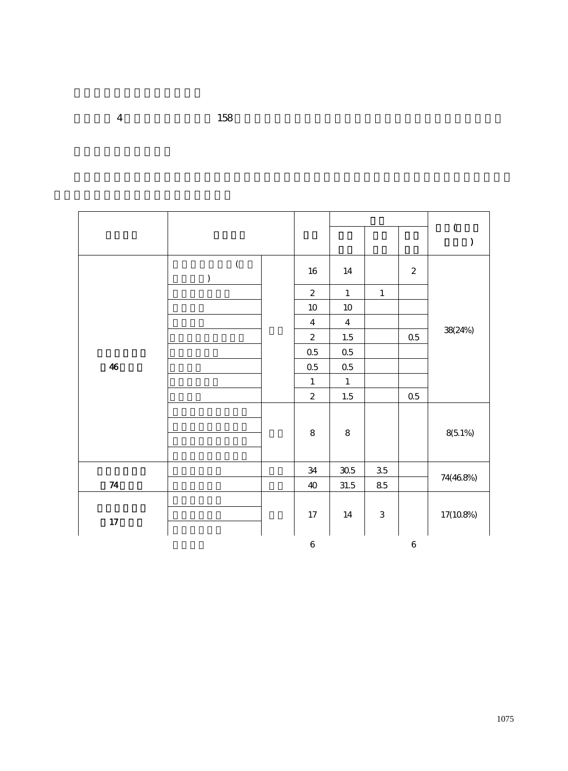|            |          |                  |                |             |                | (<br>)     |
|------------|----------|------------------|----------------|-------------|----------------|------------|
|            | $\left($ | 16               | 14             |             | $\overline{2}$ |            |
|            |          | $\overline{2}$   | $\mathbf{1}$   | $\mathbf 1$ |                |            |
|            |          | $10$             | $10$           |             |                |            |
|            |          | $\overline{4}$   | $\overline{4}$ |             |                |            |
|            |          | $\overline{2}$   | $1.5\,$        |             | 0.5            | 38(24%)    |
|            |          | $0.5\,$          | $0.5\,$        |             |                |            |
| 46         |          | 0.5              | $0.5\,$        |             |                |            |
|            |          | $\mathbf 1$      | $\mathbf{1}$   |             |                |            |
|            |          | $\overline{2}$   | 1.5            |             | 0.5            |            |
|            |          | $\,8\,$          | $\,8\,$        |             |                | $8(5.1\%)$ |
|            |          | $34\,$           | $30.5$         | 3.5         |                |            |
| ${\bf 74}$ |          | 40               | $31.5$         | 85          |                | 74(46.8%)  |
| $17\,$     |          | $17\,$           | $14\,$         | $\sqrt{3}$  |                | 17(10.8%)  |
|            |          | $\boldsymbol{6}$ |                |             | $\epsilon$     |            |

 $\mathbf{r}$ 

 $4$   $158$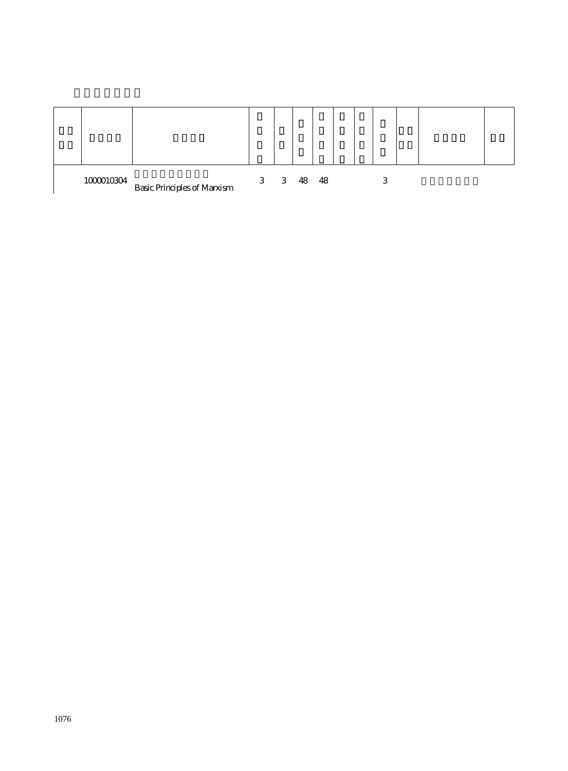| 1000010304 | Basic Principles of Marxism | 3 3 48 | -48 |  | $\sqrt{2}$<br>ٮ |  |  |
|------------|-----------------------------|--------|-----|--|-----------------|--|--|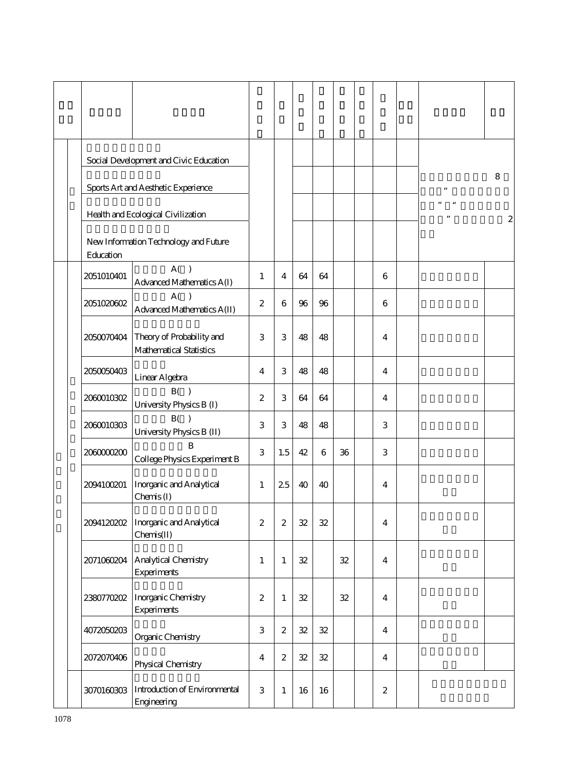|            | Social Development and Civic Education                                     |                |                |    |    |    |                |              | 8              |
|------------|----------------------------------------------------------------------------|----------------|----------------|----|----|----|----------------|--------------|----------------|
|            | Sports Art and A esthetic Experience<br>Health and Ecological Civilization |                |                |    |    |    |                | $\mathbf{u}$ | $\overline{c}$ |
| Education  | New Information Technology and Future                                      |                |                |    |    |    |                |              |                |
| 2051010401 | A( )<br>A dvanced Mathematics A (I)                                        | 1              | 4              | 64 | 64 |    | 6              |              |                |
| 2051020602 | A( )<br>A dvanced Mathematics A (II)                                       | $\overline{2}$ | 6              | 96 | 96 |    | 6              |              |                |
| 2050070404 | Theory of Probability and<br>Mathematical Statistics                       | 3              | 3              | 48 | 48 |    | 4              |              |                |
| 2050050403 | Linear Algebra                                                             | $\overline{4}$ | 3              | 48 | 48 |    | $\overline{4}$ |              |                |
| 2060010302 | B( )<br>University Physics B (I)                                           | $\overline{2}$ | 3              | 64 | 64 |    | $\overline{4}$ |              |                |
| 2060010303 | B( )<br>University Physics B (II)                                          | 3              | 3              | 48 | 48 |    | 3              |              |                |
| 2060000200 | B<br>College Physics Experiment B                                          | 3              | 1.5            | 42 | 6  | 36 | 3              |              |                |
| 2094100201 | Inorganic and Analytical<br>Chemis(I)                                      | $\mathbf{1}$   | 25             | 40 | 40 |    | 4              |              |                |
| 2094120202 | Inorganic and Analytical<br>Chemis(II)                                     | 2              | $\overline{2}$ | 32 | 32 |    | $\overline{4}$ |              |                |
| 2071060204 | Analytical Chemistry<br>Experiments                                        | $\mathbf{1}$   | 1              | 32 |    | 32 | 4              |              |                |
| 2380770202 | Inorganic Chemistry<br><b>Experiments</b>                                  | $\overline{2}$ | $\mathbf{1}$   | 32 |    | 32 | $\overline{4}$ |              |                |
| 4072050203 | Organic Chemistry                                                          | $\mathfrak{Z}$ | $\overline{c}$ | 32 | 32 |    | 4              |              |                |
| 2072070406 | Physical Chemistry                                                         | $\overline{4}$ | $\overline{2}$ | 32 | 32 |    | $\overline{4}$ |              |                |
| 3070160303 | Introduction of Environmental<br>Engineering                               | $\mathfrak{Z}$ | 1              | 16 | 16 |    | $\overline{2}$ |              |                |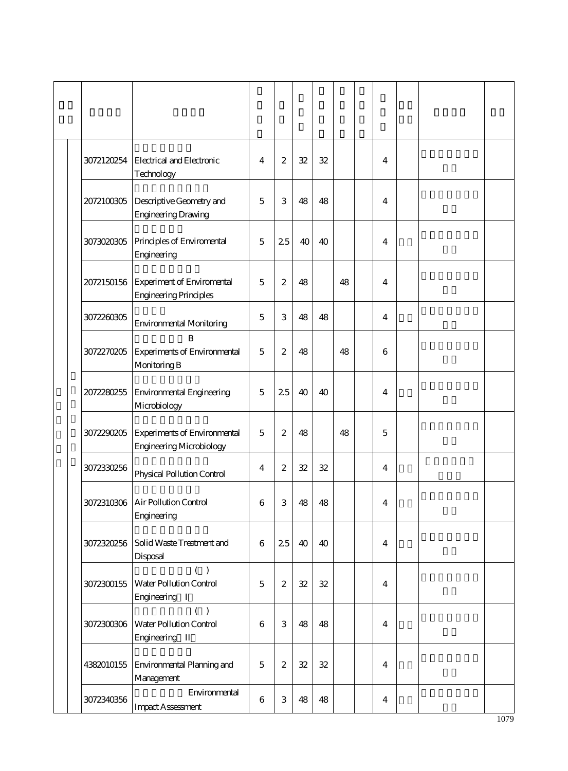| 3072120254 | Electrical and Electronic<br><b>Technology</b>               | 4              | $\overline{2}$ | 32 | 32 |    | 4              |  |
|------------|--------------------------------------------------------------|----------------|----------------|----|----|----|----------------|--|
| 2072100305 | Descriptive Geometry and<br>Engineering Drawing              | 5              | 3              | 48 | 48 |    | 4              |  |
| 3073020305 | Principles of Enviromental<br>Engineering                    | 5              | 25             | 40 | 40 |    | $\overline{4}$ |  |
| 2072150156 | Experiment of Enviromental<br>Engineering Principles         | 5              | $\overline{2}$ | 48 |    | 48 | 4              |  |
| 3072260305 | Environmental Monitoring                                     | 5              | 3              | 48 | 48 |    | $\overline{4}$ |  |
| 3072270205 | B<br>Experiments of Environmental<br>Monitoring B            | 5              | $\overline{2}$ | 48 |    | 48 | 6              |  |
| 2072280255 | Environmental Engineering<br>Microbiology                    | 5              | 25             | 40 | 40 |    | 4              |  |
| 3072290205 | Experiments of Environmental<br>Engineering Microbiology     | 5              | $\overline{2}$ | 48 |    | 48 | 5              |  |
| 3072330256 | Physical Pollution Control                                   | $\overline{4}$ | $\overline{2}$ | 32 | 32 |    | 4              |  |
|            | 3072310306 Air Pollution Control<br>Engineering              | 6              | $\mathfrak{Z}$ | 48 | 48 |    | 4              |  |
|            | 3072320256 Solid Waste Treatment and<br>Disposal             | 6              | 25             | 40 | 40 |    | 4              |  |
|            | ( )<br>3072300155   Water Pollution Control<br>Engineering I | 5              | $\overline{2}$ | 32 | 32 |    | 4              |  |
| 3072300306 | ( )<br>Water Pollution Control<br>Engineering II             | 6              | 3              | 48 | 48 |    | 4              |  |
| 4382010155 | Environmental Planning and<br>Management                     | 5              | $\overline{2}$ | 32 | 32 |    | 4              |  |
| 3072340356 | Environmental<br>Impact A ssessment                          | 6              | $\mathfrak{Z}$ | 48 | 48 |    | 4              |  |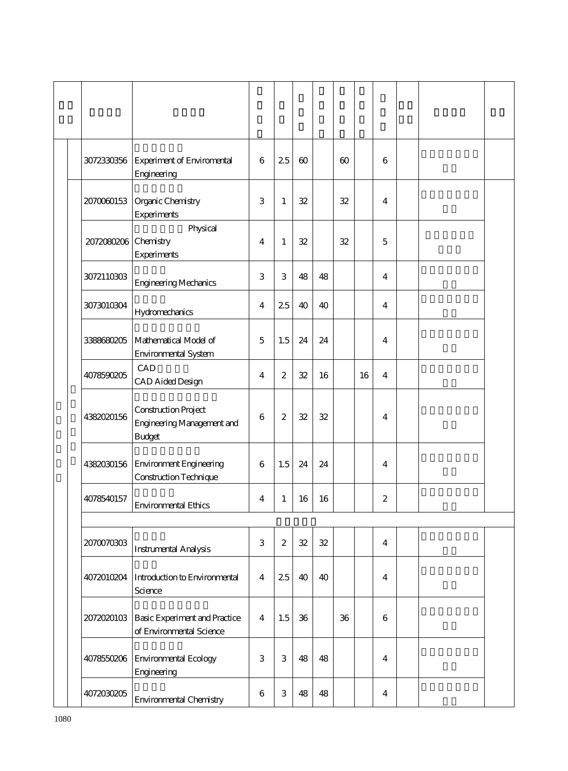| 3072330356           | Experiment of Enviromental<br>Engineering                                  | 6 | 25             | 60 |    | 60 |    | 6              |  |  |
|----------------------|----------------------------------------------------------------------------|---|----------------|----|----|----|----|----------------|--|--|
| 2070060153           | Organic Chemistry<br>Experiments                                           | 3 | 1              | 32 |    | 32 |    | 4              |  |  |
| 2072080206 Chemistry | Physical<br><b>Experiments</b>                                             | 4 | 1              | 32 |    | 32 |    | 5              |  |  |
| 3072110303           | Engineering Mechanics                                                      | 3 | 3              | 48 | 48 |    |    | 4              |  |  |
| 3073010304           | Hydromechanics                                                             | 4 | 25             | 40 | 40 |    |    | 4              |  |  |
| 3388680205           | Mathematical Model of<br>Environmental System                              | 5 | 1.5            | 24 | 24 |    |    | 4              |  |  |
| 4078590205           | CAD<br>CAD Aided Design                                                    | 4 | 2              | 32 | 16 |    | 16 | 4              |  |  |
| 4382020156           | <b>Construction Project</b><br>Engineering Management and<br><b>Budget</b> | 6 | 2              | 32 | 32 |    |    | 4              |  |  |
| 4382030156           | Environment Engineering<br>Construction Technique                          | 6 | 1.5            | 24 | 24 |    |    | 4              |  |  |
| 4078540157           | Environmental Ethics                                                       | 4 | 1              | 16 | 16 |    |    | $\overline{2}$ |  |  |
| 2070070303           | Instrumental Analysis                                                      | 3 | $\overline{2}$ | 32 | 32 |    |    | $\overline{4}$ |  |  |
| 4072010204           | Introduction to Environmental<br>Science                                   | 4 | 25             | 40 | 40 |    |    | 4              |  |  |
| 2072020103           | <b>Basic Experiment and Practice</b><br>of Environmental Science           | 4 | 1.5            | 36 |    | 36 |    | 6              |  |  |
|                      | 4078550206 Environmental Ecology<br>Engineering                            | 3 | 3              | 48 | 48 |    |    | 4              |  |  |
| 4072030205           | Environmental Chemistry                                                    | 6 | 3              | 48 | 48 |    |    | 4              |  |  |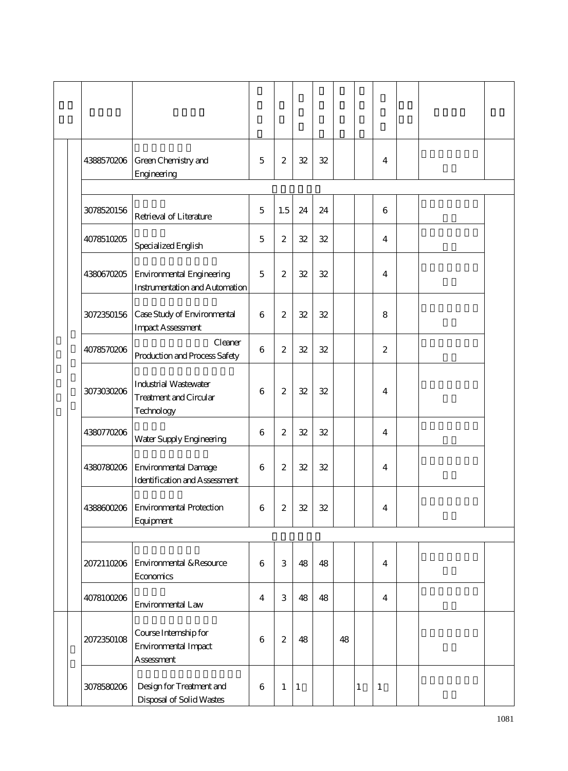| 4388570206 | Green Chemistry and<br>Engineering                                   | 5                | $\overline{2}$ | 32        | 32 |    |   | $\overline{4}$ |  |  |
|------------|----------------------------------------------------------------------|------------------|----------------|-----------|----|----|---|----------------|--|--|
|            |                                                                      |                  |                |           |    |    |   |                |  |  |
| 3078520156 | Retrieval of Literature                                              | 5                | 1.5            | 24        | 24 |    |   | 6              |  |  |
| 4078510205 | Specialized English                                                  | 5                | $\overline{2}$ | 32        | 32 |    |   | $\overline{4}$ |  |  |
| 4380670205 | Environmental Engineering<br>Instrumentation and Automation          | 5                | $\overline{2}$ | 32        | 32 |    |   | 4              |  |  |
| 3072350156 | Case Study of Environmental<br>Impact A ssessment                    | 6                | $\overline{2}$ | 32        | 32 |    |   | 8              |  |  |
| 4078570206 | Cleaner<br>Production and Process Safety                             | 6                | $\overline{2}$ | 32        | 32 |    |   | $\overline{2}$ |  |  |
| 3073030206 | Industrial Wastewater<br><b>Treatment and Circular</b><br>Technology | 6                | $\overline{2}$ | 32        | 32 |    |   | $\overline{4}$ |  |  |
| 4380770206 | Water Supply Engineering                                             | 6                | $\overline{2}$ | 32        | 32 |    |   | $\overline{4}$ |  |  |
| 4380780206 | Environmental Damage<br>I dentification and A ssessment              | 6                | $\overline{2}$ | 32        | 32 |    |   | $\overline{4}$ |  |  |
|            | 4388600206 Environmental Protection<br>Equipment                     | $\boldsymbol{6}$ | $\overline{2}$ | 32        | 32 |    |   | 4              |  |  |
|            |                                                                      |                  |                |           |    |    |   |                |  |  |
|            | 2072110206 Environmental & Resource<br>Economics                     | 6                | 3              | 48        | 48 |    |   | $\overline{4}$ |  |  |
| 4078100206 | Environmental Law                                                    | $\overline{4}$   | 3              | 48        | 48 |    |   | $\overline{4}$ |  |  |
| 2072350108 | Course Internship for<br>Environmental Impact<br>A ssessment         | 6                | $\overline{2}$ | 48        |    | 48 |   |                |  |  |
| 3078580206 | Design for Treatment and<br>Disposal of Solid Wastes                 | 6                | $\mathbf{1}$   | $\vert$ 1 |    |    | 1 | 1              |  |  |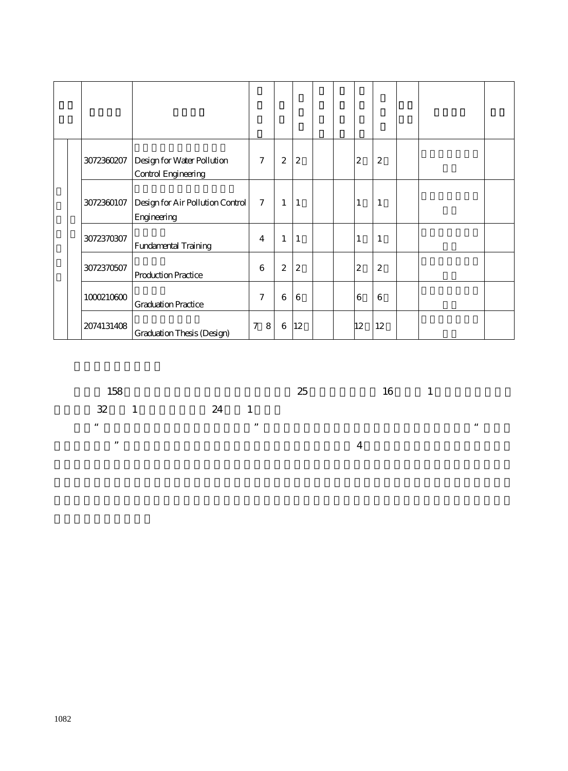| 3072360207 | Design for Water Pollution<br>Control Engineering | $\overline{7}$ | $\overline{2}$ | $\overline{2}$ |  | 2  | $\overline{2}$ |  |  |
|------------|---------------------------------------------------|----------------|----------------|----------------|--|----|----------------|--|--|
| 3072360107 | Design for Air Pollution Control<br>Engineering   | $\overline{7}$ | $\mathbf{1}$   | $\mathbf{1}$   |  | 1  | 1              |  |  |
| 3072370307 | Fundamental Training                              | 4              | 1              | $\mathbf{1}$   |  |    | 1              |  |  |
| 3072370507 | Production Practice                               | 6              | $\overline{2}$ | $\overline{2}$ |  | 2  | $\overline{2}$ |  |  |
| 1000210600 | <b>Graduation Practice</b>                        | 7              | 6              | 6              |  | 6  | 6              |  |  |
| 2074131408 | Graduation Thesis (Design)                        | 8<br>7         | 6              | 12             |  | 12 | 12             |  |  |

 $32 \t1 \t24 \t1$ 

 $\frac{u}{\sqrt{u}}$ 

 $158$  25  $25$  16 1

 $\frac{1}{\pi}$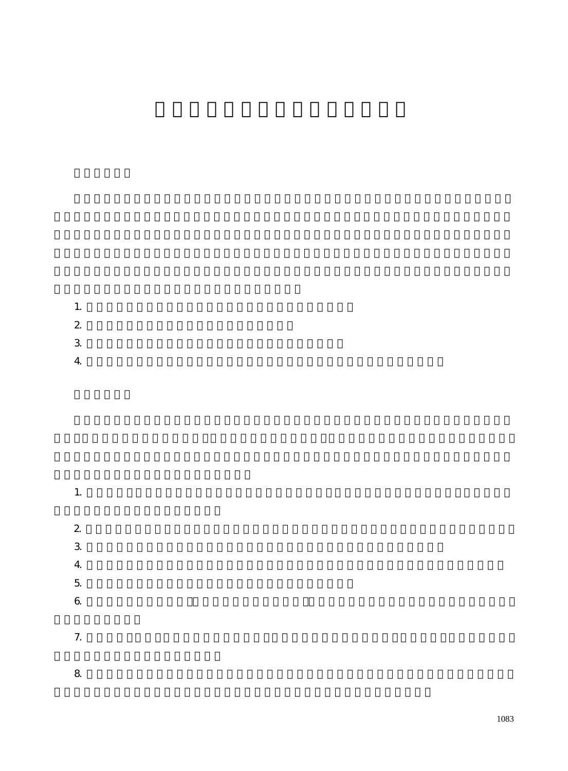## 1.  $\blacksquare$

- $2 \,$
- $3.$
- $4.$

- 1.  $\blacksquare$
- $2 \thinspace$
- $3.$
- $4.$
- $5.$
- $\epsilon$ .
- $7.$
- $8.$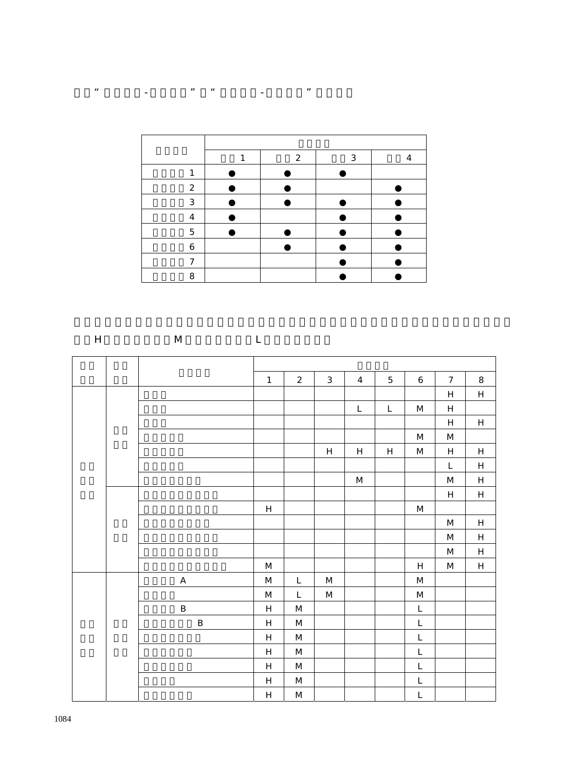$\frac{1}{2}$  and  $\frac{1}{2}$  and  $\frac{1}{2}$  and  $\frac{1}{2}$  and  $\frac{1}{2}$  and  $\frac{1}{2}$  and  $\frac{1}{2}$  and  $\frac{1}{2}$  and  $\frac{1}{2}$  and  $\frac{1}{2}$  and  $\frac{1}{2}$  and  $\frac{1}{2}$  and  $\frac{1}{2}$  and  $\frac{1}{2}$  and  $\frac{1}{2}$  and  $\frac{1}{2}$  a

(a)  $\mathbf{u} = \mathbf{u} - \mathbf{u} - \mathbf{u} - \mathbf{u} - \mathbf{u} - \mathbf{u} - \mathbf{u} - \mathbf{u} - \mathbf{u} - \mathbf{u} - \mathbf{u} - \mathbf{u} - \mathbf{u} - \mathbf{u} - \mathbf{u} - \mathbf{u} - \mathbf{u} - \mathbf{u} - \mathbf{u} - \mathbf{u} - \mathbf{u} - \mathbf{u} - \mathbf{u} - \mathbf{u} - \mathbf{u} - \mathbf{u} - \mathbf{u} - \mathbf{u} - \mathbf{u} - \mathbf{u}$ 

|                | 2 | 3 |  |
|----------------|---|---|--|
| 1              |   |   |  |
| $\overline{2}$ |   |   |  |
| 3              |   |   |  |
| 4              |   |   |  |
| 5              |   |   |  |
| 6              |   |   |  |
| 7<br>$\prime$  |   |   |  |
| 8              |   |   |  |

 $\frac{H}{\sqrt{GM}}$  and  $\frac{H}{\sqrt{GM}}$  and  $\frac{H}{\sqrt{GM}}$  and  $\frac{H}{\sqrt{GM}}$ 



|  |             | $\mathbf{1}$                                                | $\overline{2}$                                                                                             | $\mathfrak{Z}$            | $\overline{4}$            | 5                         | $\boldsymbol{6}$                                                                                           | $\overline{7}$            | 8                         |
|--|-------------|-------------------------------------------------------------|------------------------------------------------------------------------------------------------------------|---------------------------|---------------------------|---------------------------|------------------------------------------------------------------------------------------------------------|---------------------------|---------------------------|
|  |             |                                                             |                                                                                                            |                           |                           |                           |                                                                                                            | $\boldsymbol{\mathsf{H}}$ | $\boldsymbol{\mathsf{H}}$ |
|  |             |                                                             |                                                                                                            |                           | $\mathsf L$               | $\mathsf L$               | $\mathsf{M}% _{T}=\mathsf{M}_{T}\!\left( a,b\right) ,\ \mathsf{M}_{T}=\mathsf{M}_{T}\!\left( a,b\right) ,$ | $\sf H$                   |                           |
|  |             |                                                             |                                                                                                            |                           |                           |                           |                                                                                                            | $\boldsymbol{\mathsf{H}}$ | $\mathsf{H}$              |
|  |             |                                                             |                                                                                                            |                           |                           |                           | ${\sf M}$                                                                                                  | M                         |                           |
|  |             |                                                             |                                                                                                            | $\boldsymbol{\mathsf{H}}$ | $\boldsymbol{\mathsf{H}}$ | $\boldsymbol{\mathsf{H}}$ | ${\sf M}$                                                                                                  | $\boldsymbol{\mathsf{H}}$ | $\boldsymbol{\mathsf{H}}$ |
|  |             |                                                             |                                                                                                            |                           |                           |                           |                                                                                                            | $\mathsf L$               | $\boldsymbol{\mathsf{H}}$ |
|  |             |                                                             |                                                                                                            |                           | ${\sf M}$                 |                           |                                                                                                            | ${\sf M}$                 | $\boldsymbol{\mathsf{H}}$ |
|  |             |                                                             |                                                                                                            |                           |                           |                           |                                                                                                            | $\boldsymbol{\mathsf{H}}$ | $\mathsf{H}$              |
|  |             | $\boldsymbol{\mathsf{H}}$                                   |                                                                                                            |                           |                           |                           | ${\sf M}$                                                                                                  |                           |                           |
|  |             |                                                             |                                                                                                            |                           |                           |                           |                                                                                                            | ${\sf M}$                 | $\mathsf H$               |
|  |             |                                                             |                                                                                                            |                           |                           |                           |                                                                                                            | ${\sf M}$                 | $\boldsymbol{\mathsf{H}}$ |
|  |             |                                                             |                                                                                                            |                           |                           |                           |                                                                                                            | ${\sf M}$                 | $\boldsymbol{\mathsf{H}}$ |
|  |             | ${\sf M}$                                                   |                                                                                                            |                           |                           |                           | $\boldsymbol{\mathsf{H}}$                                                                                  | ${\sf M}$                 | $\boldsymbol{\mathsf{H}}$ |
|  | $\mathsf A$ | ${\sf M}$                                                   | $\mathsf L$                                                                                                | ${\sf M}$                 |                           |                           | ${\sf M}$                                                                                                  |                           |                           |
|  |             | ${\sf M}$                                                   | L                                                                                                          | ${\sf M}$                 |                           |                           | ${\sf M}$                                                                                                  |                           |                           |
|  | $\sf B$     | $\boldsymbol{\mathsf{H}}$                                   | ${\sf M}$                                                                                                  |                           |                           |                           | L                                                                                                          |                           |                           |
|  | $\sf B$     | $\boldsymbol{\mathsf{H}}$                                   | ${\sf M}$                                                                                                  |                           |                           |                           | L                                                                                                          |                           |                           |
|  |             | $\boldsymbol{\mathsf{H}}$                                   | ${\sf M}$                                                                                                  |                           |                           |                           | $\mathsf L$                                                                                                |                           |                           |
|  |             | $\boldsymbol{\mathsf{H}}$                                   | ${\sf M}$                                                                                                  |                           |                           |                           | L                                                                                                          |                           |                           |
|  |             | $\boldsymbol{\mathsf{H}}$                                   | ${\sf M}$                                                                                                  |                           |                           |                           | $\mathsf L$                                                                                                |                           |                           |
|  |             | $\boldsymbol{\mathsf{H}}$                                   | ${\sf M}$                                                                                                  |                           |                           |                           | L                                                                                                          |                           |                           |
|  |             | $\mathsf{H}% _{\mathbb{R}}^{1}\left( \mathbb{R}^{2}\right)$ | $\mathsf{M}% _{T}=\mathsf{M}_{T}\!\left( a,b\right) ,\ \mathsf{M}_{T}=\mathsf{M}_{T}\!\left( a,b\right) ,$ |                           |                           |                           | $\mathsf L$                                                                                                |                           |                           |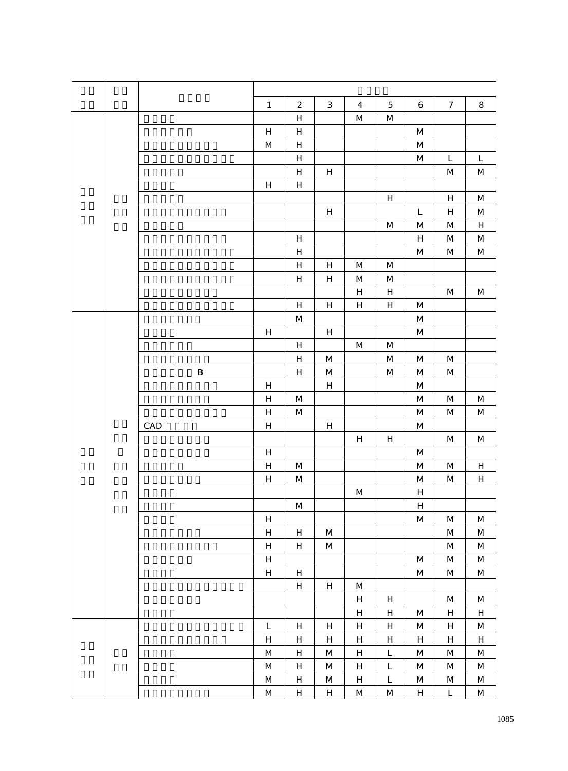|  |            | $\mathbf{1}$              | $\overline{2}$            | $\ensuremath{\mathsf{3}}$ | $\overline{4}$                                                                                             | 5                                                                                                          | $\boldsymbol{6}$                                                                                           | $\overline{7}$            | 8                                                                                                          |
|--|------------|---------------------------|---------------------------|---------------------------|------------------------------------------------------------------------------------------------------------|------------------------------------------------------------------------------------------------------------|------------------------------------------------------------------------------------------------------------|---------------------------|------------------------------------------------------------------------------------------------------------|
|  |            |                           | $\boldsymbol{\mathsf{H}}$ |                           | $\mathsf{M}% _{T}=\mathsf{M}_{T}\!\left( a,b\right) ,\ \mathsf{M}_{T}=\mathsf{M}_{T}\!\left( a,b\right) ,$ | $\mathsf{M}% _{T}=\mathsf{M}_{T}\!\left( a,b\right) ,\ \mathsf{M}_{T}=\mathsf{M}_{T}\!\left( a,b\right) ,$ |                                                                                                            |                           |                                                                                                            |
|  |            | $\boldsymbol{\mathsf{H}}$ | $\boldsymbol{\mathsf{H}}$ |                           |                                                                                                            |                                                                                                            | ${\sf M}$                                                                                                  |                           |                                                                                                            |
|  |            | ${\sf M}$                 | $\boldsymbol{\mathsf{H}}$ |                           |                                                                                                            |                                                                                                            | $\mathsf{M}% _{T}=\mathsf{M}_{T}\!\left( a,b\right) ,\ \mathsf{M}_{T}=\mathsf{M}_{T}\!\left( a,b\right) ,$ |                           |                                                                                                            |
|  |            |                           | $\boldsymbol{\mathsf{H}}$ |                           |                                                                                                            |                                                                                                            | ${\sf M}$                                                                                                  | L                         | $\mathsf L$                                                                                                |
|  |            |                           | $\boldsymbol{\mathsf{H}}$ | $\boldsymbol{\mathsf{H}}$ |                                                                                                            |                                                                                                            |                                                                                                            | ${\sf M}$                 | ${\sf M}$                                                                                                  |
|  |            | $\boldsymbol{\mathsf{H}}$ | $\boldsymbol{\mathsf{H}}$ |                           |                                                                                                            |                                                                                                            |                                                                                                            |                           |                                                                                                            |
|  |            |                           |                           |                           |                                                                                                            | $\boldsymbol{\mathsf{H}}$                                                                                  |                                                                                                            | $\boldsymbol{\mathsf{H}}$ | $\mathsf{M}% _{T}=\mathsf{M}_{T}\!\left( a,b\right) ,\ \mathsf{M}_{T}=\mathsf{M}_{T}\!\left( a,b\right) ,$ |
|  |            |                           |                           | $\boldsymbol{\mathsf{H}}$ |                                                                                                            |                                                                                                            | L                                                                                                          | $\boldsymbol{\mathsf{H}}$ | $\mathsf{M}% _{T}=\mathsf{M}_{T}\!\left( a,b\right) ,\ \mathsf{M}_{T}=\mathsf{M}_{T}\!\left( a,b\right) ,$ |
|  |            |                           |                           |                           |                                                                                                            | $\mathsf{M}% _{T}=\mathsf{M}_{T}\!\left( a,b\right) ,\ \mathsf{M}_{T}=\mathsf{M}_{T}$                      | $\mathsf{M}% _{T}=\mathsf{M}_{T}\!\left( a,b\right) ,\ \mathsf{M}_{T}=\mathsf{M}_{T}$                      | ${\sf M}$                 | $\boldsymbol{\mathsf{H}}$                                                                                  |
|  |            |                           | $\boldsymbol{\mathsf{H}}$ |                           |                                                                                                            |                                                                                                            | $\boldsymbol{\mathsf{H}}$                                                                                  | ${\sf M}$                 | ${\sf M}$                                                                                                  |
|  |            |                           | $\boldsymbol{\mathsf{H}}$ |                           |                                                                                                            |                                                                                                            | ${\sf M}$                                                                                                  | ${\sf M}$                 | $\mathsf{M}% _{T}=\mathsf{M}_{T}\!\left( a,b\right) ,\ \mathsf{M}_{T}=\mathsf{M}_{T}\!\left( a,b\right) ,$ |
|  |            |                           | $\sf H$                   | $\boldsymbol{\mathsf{H}}$ | M                                                                                                          | ${\sf M}$                                                                                                  |                                                                                                            |                           |                                                                                                            |
|  |            |                           | $\boldsymbol{\mathsf{H}}$ | $\boldsymbol{\mathsf{H}}$ | ${\sf M}$                                                                                                  | ${\sf M}$                                                                                                  |                                                                                                            |                           |                                                                                                            |
|  |            |                           |                           |                           | $\boldsymbol{\mathsf{H}}$                                                                                  | $\boldsymbol{\mathsf{H}}$                                                                                  |                                                                                                            | ${\sf M}$                 | ${\sf M}$                                                                                                  |
|  |            |                           | $\boldsymbol{\mathsf{H}}$ | $\boldsymbol{\mathsf{H}}$ | H                                                                                                          | $\boldsymbol{\mathsf{H}}$                                                                                  | $\mathsf{M}% _{T}=\mathsf{M}_{T}\!\left( a,b\right) ,\ \mathsf{M}_{T}=\mathsf{M}_{T}\!\left( a,b\right) ,$ |                           |                                                                                                            |
|  |            |                           |                           |                           |                                                                                                            |                                                                                                            |                                                                                                            |                           |                                                                                                            |
|  |            |                           | ${\sf M}$                 |                           |                                                                                                            |                                                                                                            | ${\sf M}$                                                                                                  |                           |                                                                                                            |
|  |            | $\boldsymbol{\mathsf{H}}$ |                           | H                         |                                                                                                            |                                                                                                            | ${\sf M}$                                                                                                  |                           |                                                                                                            |
|  |            |                           | $\boldsymbol{\mathsf{H}}$ |                           | M                                                                                                          | ${\sf M}$                                                                                                  |                                                                                                            |                           |                                                                                                            |
|  |            |                           | $\boldsymbol{\mathsf{H}}$ | ${\sf M}$                 |                                                                                                            | ${\sf M}$                                                                                                  | M                                                                                                          | ${\sf M}$                 |                                                                                                            |
|  | $\sf B$    |                           | $\boldsymbol{\mathsf{H}}$ | ${\sf M}$                 |                                                                                                            | ${\sf M}$                                                                                                  | ${\sf M}$                                                                                                  | ${\sf M}$                 |                                                                                                            |
|  |            | $\boldsymbol{\mathsf{H}}$ |                           | $\boldsymbol{\mathsf{H}}$ |                                                                                                            |                                                                                                            | $\mathsf{M}% _{T}=\mathsf{M}_{T}\!\left( a,b\right) ,\ \mathsf{M}_{T}=\mathsf{M}_{T}\!\left( a,b\right) ,$ |                           |                                                                                                            |
|  |            | $\boldsymbol{\mathsf{H}}$ | ${\sf M}$                 |                           |                                                                                                            |                                                                                                            | ${\sf M}$                                                                                                  | ${\sf M}$                 | ${\sf M}$                                                                                                  |
|  |            | $\boldsymbol{\mathsf{H}}$ | ${\sf M}$                 |                           |                                                                                                            |                                                                                                            | ${\sf M}$                                                                                                  | ${\sf M}$                 | ${\sf M}$                                                                                                  |
|  | <b>CAD</b> | $\boldsymbol{\mathsf{H}}$ |                           | H                         |                                                                                                            |                                                                                                            | M                                                                                                          |                           |                                                                                                            |
|  |            |                           |                           |                           | $\mathsf{H}$                                                                                               | H                                                                                                          |                                                                                                            | ${\sf M}$                 | ${\sf M}$                                                                                                  |
|  |            | $\boldsymbol{\mathsf{H}}$ |                           |                           |                                                                                                            |                                                                                                            | ${\sf M}$                                                                                                  |                           |                                                                                                            |
|  |            | $\boldsymbol{\mathsf{H}}$ | ${\sf M}$                 |                           |                                                                                                            |                                                                                                            | $\mathsf{M}% _{T}=\mathsf{M}_{T}\!\left( a,b\right) ,\ \mathsf{M}_{T}=\mathsf{M}_{T}$                      | M                         | $\boldsymbol{\mathsf{H}}$                                                                                  |
|  |            | $\boldsymbol{\mathsf{H}}$ | ${\sf M}$                 |                           |                                                                                                            |                                                                                                            | ${\sf M}$                                                                                                  | ${\sf M}$                 | H                                                                                                          |
|  |            |                           |                           |                           | ${\sf M}$                                                                                                  |                                                                                                            | $\boldsymbol{\mathsf{H}}$                                                                                  |                           |                                                                                                            |
|  |            |                           | ${\sf M}$                 |                           |                                                                                                            |                                                                                                            | H                                                                                                          |                           |                                                                                                            |
|  |            | $\boldsymbol{\mathsf{H}}$ |                           |                           |                                                                                                            |                                                                                                            | ${\sf M}$                                                                                                  | ${\sf M}$                 | ${\sf M}$                                                                                                  |
|  |            | $\boldsymbol{\mathsf{H}}$ | $\boldsymbol{\mathsf{H}}$ | ${\sf M}$                 |                                                                                                            |                                                                                                            |                                                                                                            | ${\sf M}$                 | ${\sf M}$                                                                                                  |
|  |            | $\boldsymbol{\mathsf{H}}$ | $\boldsymbol{\mathsf{H}}$ | ${\sf M}$                 |                                                                                                            |                                                                                                            |                                                                                                            | ${\sf M}$                 | ${\sf M}$                                                                                                  |
|  |            | H                         |                           |                           |                                                                                                            |                                                                                                            | ${\sf M}$                                                                                                  | ${\sf M}$                 | ${\sf M}$                                                                                                  |
|  |            | H                         | $\boldsymbol{\mathsf{H}}$ |                           |                                                                                                            |                                                                                                            | ${\sf M}$                                                                                                  | ${\sf M}$                 | ${\sf M}$                                                                                                  |
|  |            |                           | $\boldsymbol{\mathsf{H}}$ | H                         | ${\sf M}$                                                                                                  |                                                                                                            |                                                                                                            |                           |                                                                                                            |
|  |            |                           |                           |                           | $\boldsymbol{\mathsf{H}}$                                                                                  | H                                                                                                          |                                                                                                            | ${\sf M}$                 | ${\sf M}$                                                                                                  |
|  |            |                           |                           |                           | $\boldsymbol{\mathsf{H}}$                                                                                  | H                                                                                                          | ${\sf M}$                                                                                                  | $\boldsymbol{\mathsf{H}}$ | H                                                                                                          |
|  |            | $\mathsf L$               | $\boldsymbol{\mathsf{H}}$ | H                         | $\boldsymbol{\mathsf{H}}$                                                                                  | $\boldsymbol{\mathsf{H}}$                                                                                  | ${\sf M}$                                                                                                  | $\boldsymbol{\mathsf{H}}$ | $\mathsf{M}% _{T}=\mathsf{M}_{T}\!\left( a,b\right) ,\ \mathsf{M}_{T}=\mathsf{M}_{T}\!\left( a,b\right) ,$ |
|  |            | $\boldsymbol{\mathsf{H}}$ | H                         | $\boldsymbol{\mathsf{H}}$ | $\boldsymbol{\mathsf{H}}$                                                                                  | H                                                                                                          | H                                                                                                          | $\boldsymbol{\mathsf{H}}$ | $\mathsf H$                                                                                                |
|  |            | ${\sf M}$                 | H                         | ${\sf M}$                 | $\boldsymbol{\mathsf{H}}$                                                                                  | $\mathsf L$                                                                                                | ${\sf M}$                                                                                                  | ${\sf M}$                 | ${\sf M}$                                                                                                  |
|  |            | ${\sf M}$                 | $\boldsymbol{\mathsf{H}}$ | ${\sf M}$                 | $\boldsymbol{\mathsf{H}}$                                                                                  | $\mathsf L$                                                                                                | ${\sf M}$                                                                                                  | ${\sf M}$                 | ${\sf M}$                                                                                                  |
|  |            | ${\sf M}$                 | H                         | ${\sf M}$                 | $\boldsymbol{\mathsf{H}}$                                                                                  | L                                                                                                          | ${\sf M}$                                                                                                  | ${\sf M}$                 | ${\sf M}$                                                                                                  |
|  |            | M                         | H                         | H                         | M                                                                                                          | M                                                                                                          | H                                                                                                          | $\mathsf L$               | ${\sf M}$                                                                                                  |
|  |            |                           |                           |                           |                                                                                                            |                                                                                                            |                                                                                                            |                           |                                                                                                            |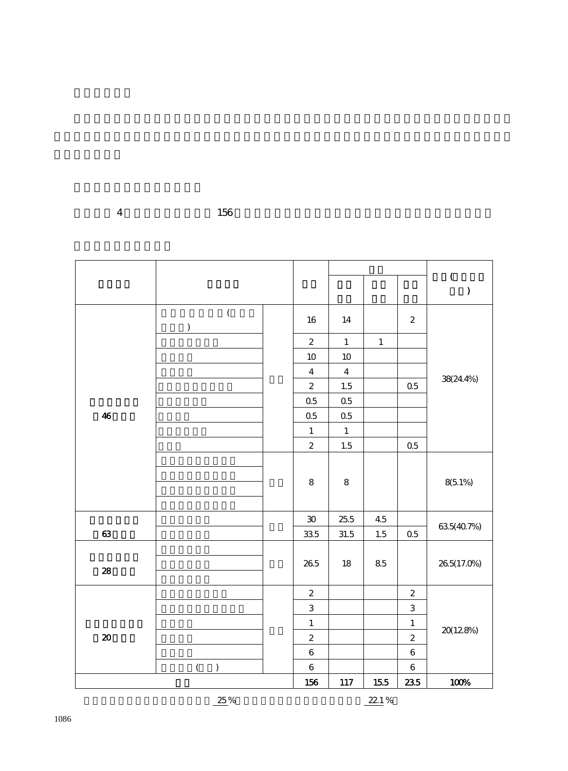|            |                          |  | $\boldsymbol{6}$ |                    |              | $\epsilon$     |                          |
|------------|--------------------------|--|------------------|--------------------|--------------|----------------|--------------------------|
| $\pmb{20}$ |                          |  | $\sqrt{2}$       |                    |              | $\overline{2}$ |                          |
|            |                          |  | $\mathbf{1}$     |                    |              | $\mathbf{1}$   | 20(12.8%)                |
|            |                          |  | $\sqrt{3}$       |                    |              | 3              |                          |
|            |                          |  | $\sqrt{2}$       |                    |              | $\sqrt{2}$     |                          |
| 28         |                          |  | 26.5             | 18                 | 8.5          |                | 26.5(17.0%)              |
| 63         |                          |  | 33.5             | 31.5               | 1.5          | 0.5            |                          |
|            |                          |  | $30\,$           | 25.5               | 4.5          |                | 63.5(40.7%)              |
|            |                          |  | $\,8\,$          | $\,8\,$            |              |                | $8(5.1\%)$               |
|            |                          |  | $\overline{2}$   | 1.5                |              | 0.5            |                          |
|            |                          |  | $\mathbf{1}$     | $\mathbf{1}$       |              |                |                          |
| 46         |                          |  | 0.5              | 0.5                |              |                |                          |
|            |                          |  | 0.5              | $0.5\,$            |              |                |                          |
|            |                          |  | $\overline{2}$   | $1.5\,$            |              | 0.5            | 38(24.4%)                |
|            |                          |  | $\overline{4}$   | $\overline{4}$     |              |                |                          |
|            |                          |  | 10               | 10                 |              |                |                          |
|            | $\big($<br>$\mathcal{E}$ |  | 16<br>$\sqrt{2}$ | 14<br>$\mathbf{1}$ | $\mathbf{1}$ | $\overline{2}$ |                          |
|            |                          |  |                  |                    |              |                | $\lambda$                |
|            |                          |  |                  |                    |              |                | $\overline{\mathcal{L}}$ |

 $4$   $156$ 

1086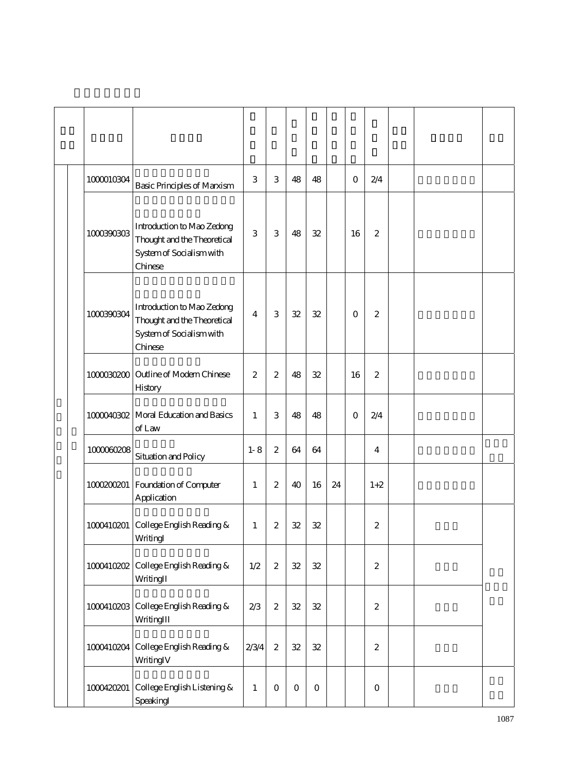|  | 1000010304 | Basic Principles of Marxism                                                                      | 3              | 3              | 48          | 48          |    | $\overline{O}$ | 2/4            |  |  |
|--|------------|--------------------------------------------------------------------------------------------------|----------------|----------------|-------------|-------------|----|----------------|----------------|--|--|
|  | 1000390303 | Introduction to Mao Zedong<br>Thought and the Theoretical<br>System of Socialism with<br>Chinese | 3              | 3              | 48          | 32          |    | 16             | 2              |  |  |
|  | 1000390304 | Introduction to Mao Zedong<br>Thought and the Theoretical<br>System of Socialism with<br>Chinese | 4              | 3              | 32          | 32          |    | $\Omega$       | 2              |  |  |
|  |            | 1000030200 Outline of Modern Chinese<br>History                                                  | $\overline{2}$ | $\overline{2}$ | 48          | 32          |    | 16             | $\overline{2}$ |  |  |
|  |            | 1000040302 Moral Education and Basics<br>of Law                                                  | 1              | 3              | 48          | 48          |    | $\Omega$       | 2/4            |  |  |
|  | 1000060208 | Situation and Policy                                                                             | $1 - 8$        | $\overline{2}$ | 64          | 64          |    |                | 4              |  |  |
|  | 1000200201 | Foundation of Computer<br>A pplication                                                           | 1              | $\overline{2}$ | 40          | 16          | 24 |                | $1+2$          |  |  |
|  |            | 1000410201 College English Reading &<br>Writingl                                                 | 1              | $\overline{2}$ | 32          | 32          |    |                | $\overline{2}$ |  |  |
|  | 1000410202 | College English Reading &<br>WritingII                                                           | 1/2            | $\overline{2}$ | 32          | 32          |    |                | $\overline{2}$ |  |  |
|  |            | 1000410203 College English Reading &<br>WritingIII                                               | 2/3            | $\overline{2}$ | 32          | 32          |    |                | $\overline{2}$ |  |  |
|  | 1000410204 | College English Reading &<br>WritinglV                                                           | 2/3/4          | $\overline{2}$ | 32          | 32          |    |                | $\overline{2}$ |  |  |
|  | 1000420201 | College English Listening &<br>Speakingl                                                         | 1              | $\mathbf 0$    | $\mathbf 0$ | $\mathbf 0$ |    |                | $\mathsf O$    |  |  |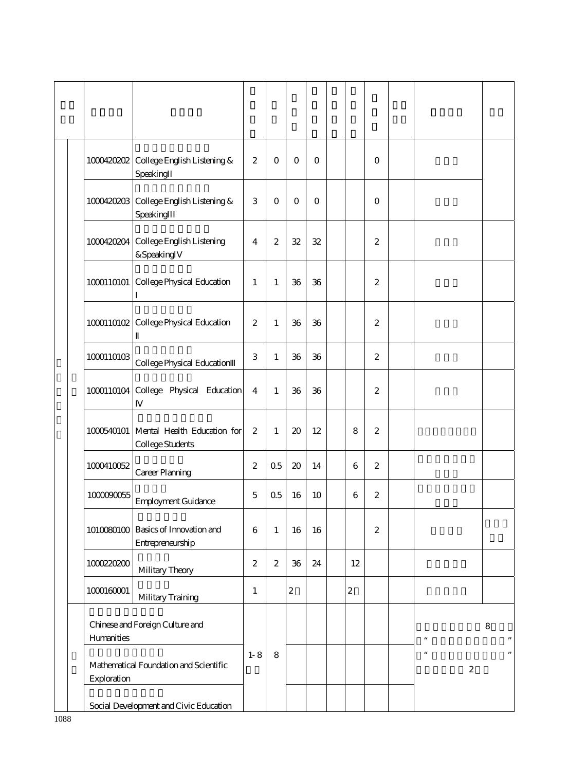|                   |             | 1000420202 College English Listening &<br>SpeakingII    | 2              | $\mathcal{O}$  | $\Omega$       | $\Omega$ |                | 0              |                                |                       |
|-------------------|-------------|---------------------------------------------------------|----------------|----------------|----------------|----------|----------------|----------------|--------------------------------|-----------------------|
|                   | 1000420203  | College English Listening &<br>SpeakingIII              | 3              | $\mathcal{O}$  | $\mathbf 0$    | $\Omega$ |                | $\mathbf 0$    |                                |                       |
|                   | 1000420204  | College English Listening<br>& Speakingl V              | 4              | $\overline{2}$ | 32             | 32       |                | $\overline{2}$ |                                |                       |
|                   | 1000110101  | College Physical Education                              | $\mathbf{1}$   | 1              | 36             | 36       |                | $\overline{2}$ |                                |                       |
|                   |             | 1000110102 College Physical Education                   | 2              | 1              | 36             | 36       |                | $\overline{2}$ |                                |                       |
|                   | 1000110103  | College Physical Education                              | 3              | 1              | 36             | 36       |                | $\overline{2}$ |                                |                       |
|                   | 1000110104  | College Physical Education                              | 4              | 1              | 36             | 36       |                | $\overline{2}$ |                                |                       |
|                   | 1000540101  | Mental Health Education for<br>College Students         | $\overline{2}$ | 1              | 20             | 12       | 8              | $\overline{2}$ |                                |                       |
|                   | 1000410052  | Career Planning                                         | $\overline{2}$ | 0.5            | 20             | 14       | 6              | $\overline{2}$ |                                |                       |
|                   | 1000090055  | Employment Guidance                                     | 5              | 0.5            | 16             | 10       | 6              | $\overline{2}$ |                                |                       |
|                   |             | 1010080100 Basics of Innovation and<br>Entrepreneurship | 6              | 1              | 16             | 16       |                | $\overline{2}$ |                                |                       |
|                   | 1000220200  | Military Theory                                         | $\overline{2}$ | $\overline{2}$ | 36             | 24       | 12             |                |                                |                       |
|                   | 1000160001  | Military Training                                       | 1              |                | $\overline{2}$ |          | $\overline{2}$ |                |                                |                       |
| <b>Humanities</b> |             | Chinese and Foreign Culture and                         |                |                |                |          |                |                | $\mathbf{u}$                   | 8<br>$\boldsymbol{n}$ |
|                   | Exploration | Mathematical Foundation and Scientific                  | $1 - 8$        | 8              |                |          |                |                | $\mathbf{u}$<br>$\overline{2}$ | $\boldsymbol{n}$      |
|                   |             | Social Development and Civic Education                  |                |                |                |          |                |                |                                |                       |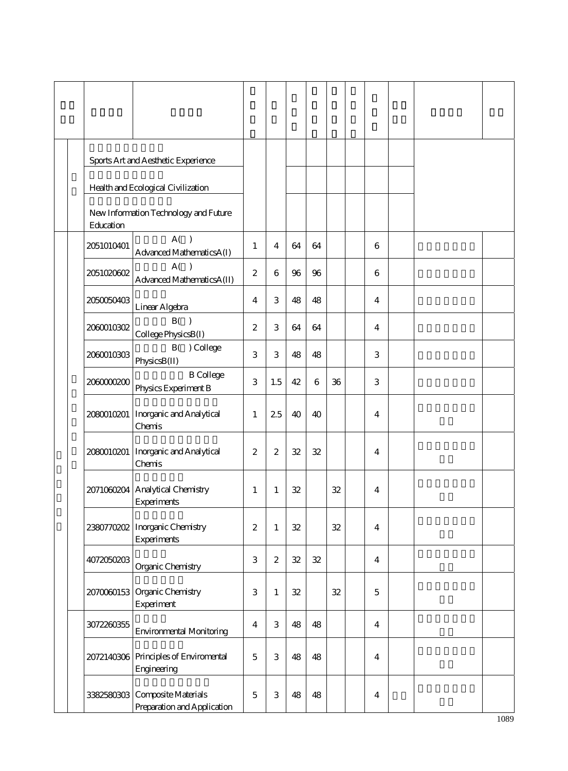|            | Sports A rt and A esthetic Experience                         |                |                |    |    |    |                |  |      |
|------------|---------------------------------------------------------------|----------------|----------------|----|----|----|----------------|--|------|
|            | Health and Ecological Civilization                            |                |                |    |    |    |                |  |      |
| Education  | New Information Technology and Future                         |                |                |    |    |    |                |  |      |
| 2051010401 | A( )<br>A dvanced MathematicsA (I)                            | 1              | $\overline{4}$ | 64 | 64 |    | 6              |  |      |
| 2051020602 | A( )<br>A dvanced MathematicsA (II)                           | $\overline{2}$ | 6              | 96 | 96 |    | 6              |  |      |
| 2050050403 | Linear Algebra                                                | $\overline{4}$ | 3              | 48 | 48 |    | $\overline{4}$ |  |      |
| 2060010302 | B( )<br>College PhysicsB(I)                                   | $\overline{2}$ | 3              | 64 | 64 |    | $\overline{4}$ |  |      |
| 2060010303 | B() College<br>PhysicsB(II)                                   | 3              | 3              | 48 | 48 |    | 3              |  |      |
| 2060000200 | <b>B</b> College<br>Physics Experiment B                      | 3              | 1.5            | 42 | 6  | 36 | 3              |  |      |
| 2080010201 | Inorganic and Analytical<br>Chemis                            | 1              | 25             | 40 | 40 |    | $\overline{4}$ |  |      |
| 2080010201 | Inorganic and Analytical<br>Chemis                            | $\overline{2}$ | $\overline{2}$ | 32 | 32 |    | $\overline{4}$ |  |      |
|            | 2071060204 Analytical Chemistry<br>Experiments                | 1              | 1              | 32 |    | 32 | 4              |  |      |
|            | 2380770202   Inorganic Chemistry<br>Experiments               | $\overline{2}$ | 1              | 32 |    | 32 | $\overline{4}$ |  |      |
| 4072050203 | Organic Chemistry                                             | 3              | $\overline{2}$ | 32 | 32 |    | $\overline{4}$ |  |      |
|            | 2070060153 Organic Chemistry<br>Experiment                    | 3              | 1              | 32 |    | 32 | 5              |  |      |
| 3072260355 | Environmental Monitoring                                      | $\overline{4}$ | 3              | 48 | 48 |    | $\overline{4}$ |  |      |
|            | 2072140306 Principles of Enviromental<br>Engineering          | 5              | 3              | 48 | 48 |    | $\overline{4}$ |  |      |
|            | 3382580303 Composite Materials<br>Preparation and Application | 5              | 3              | 48 | 48 |    | $\overline{4}$ |  | 1089 |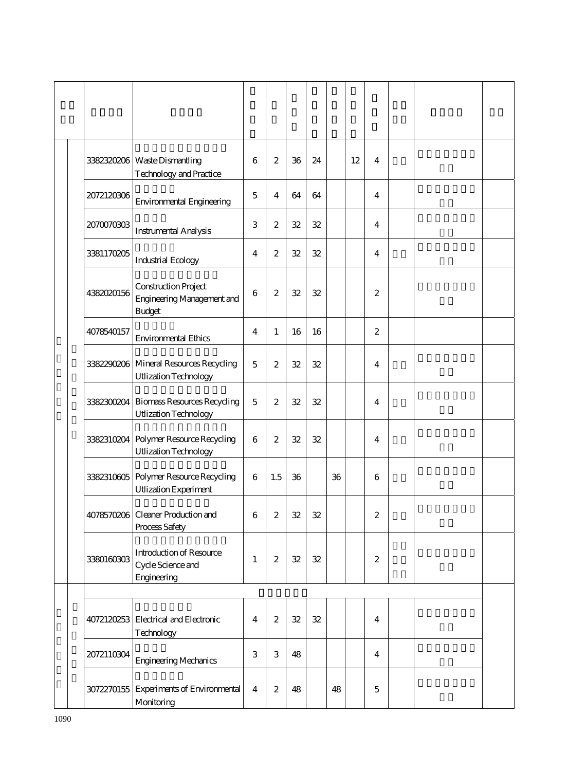|  |            | 3382320206 Waste Dismantling<br>Technology and Practice             | 6            | $\overline{2}$ | 36 | 24 |    | 12 | 4              |  |  |
|--|------------|---------------------------------------------------------------------|--------------|----------------|----|----|----|----|----------------|--|--|
|  | 2072120306 | Environmental Engineering                                           | 5            | 4              | 64 | 64 |    |    | $\overline{4}$ |  |  |
|  | 2070070303 | Instrumental Analysis                                               | 3            | $\overline{2}$ | 32 | 32 |    |    | 4              |  |  |
|  | 3381170205 | Industrial Ecology                                                  | 4            | $\overline{2}$ | 32 | 32 |    |    | 4              |  |  |
|  | 4382020156 | Construction Project<br>Engineering Management and<br><b>Budget</b> | 6            | $\overline{2}$ | 32 | 32 |    |    | $\overline{2}$ |  |  |
|  | 4078540157 | Environmental Ethics                                                | 4            | $\mathbf{1}$   | 16 | 16 |    |    | $\overline{2}$ |  |  |
|  |            | 3382290206 Mineral Resources Recycling<br>Utlization Technology     | 5            | $\overline{2}$ | 32 | 32 |    |    | $\overline{4}$ |  |  |
|  |            | 3382300204 Biomass Resources Recycling<br>Utlization Technology     | 5            | $\overline{2}$ | 32 | 32 |    |    | 4              |  |  |
|  |            | 3382310204 Polymer Resource Recycling<br>Utlization Technology      | 6            | $\overline{2}$ | 32 | 32 |    |    | 4              |  |  |
|  |            | 3382310605 Polymer Resource Recycling<br>Utlization Experiment      | 6            | 1.5            | 36 |    | 36 |    | 6              |  |  |
|  |            | 4078570206 Cleaner Production and<br>Process Safety                 | 6            | $\overline{2}$ | 32 | 32 |    |    | $\overline{2}$ |  |  |
|  | 3380160303 | Introduction of Resource<br>Cycle Science and<br>Engineering        | $\mathbf{1}$ | $\overline{2}$ | 32 | 32 |    |    | $\overline{2}$ |  |  |
|  |            |                                                                     |              |                |    |    |    |    |                |  |  |
|  |            | 4072120253 Electrical and Electronic<br>Technology                  | 4            | $\overline{2}$ | 32 | 32 |    |    | 4              |  |  |
|  | 2072110304 | Engineering Mechanics                                               | 3            | 3              | 48 |    |    |    | $\overline{4}$ |  |  |
|  |            | 3072270155 Experiments of Environmental<br>Moni toring              | 4            | $\overline{2}$ | 48 |    | 48 |    | 5              |  |  |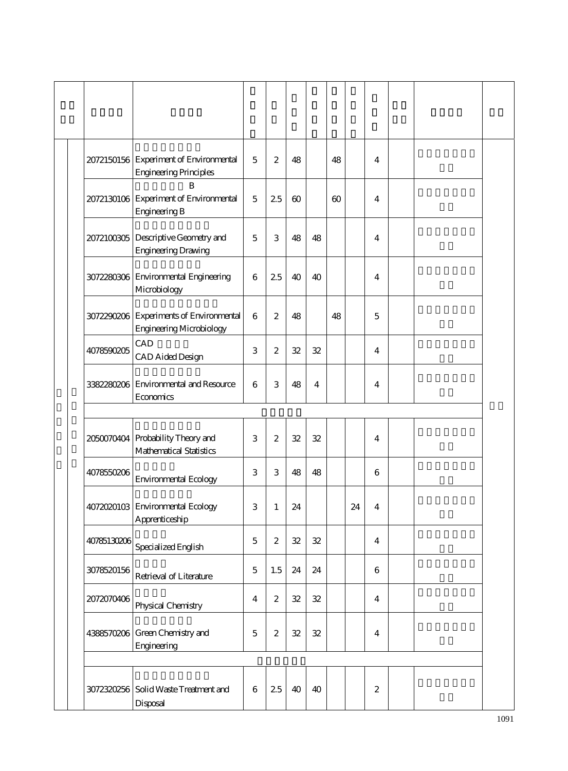|             | 2072150156 Experiment of Environmental<br>Engineering Principles           | 5              | $\overline{2}$ | 48 |    | 48 |    | 4              |  |  |
|-------------|----------------------------------------------------------------------------|----------------|----------------|----|----|----|----|----------------|--|--|
|             | B<br>2072130106 Experiment of Environmental<br>Engineering B               | 5              | 25             | 60 |    | 60 |    | $\overline{4}$ |  |  |
|             | 2072100305 Descriptive Geometry and<br>Engineering Drawing                 | 5              | 3              | 48 | 48 |    |    | $\overline{4}$ |  |  |
|             | 3072280306 Environmental Engineering<br>Microbiology                       | 6              | 25             | 40 | 40 |    |    | $\overline{4}$ |  |  |
|             | 3072290206 Experiments of Environmental<br><b>Engineering Microbiology</b> | 6              | $\overline{2}$ | 48 |    | 48 |    | 5              |  |  |
| 4078590205  | CAD<br>CAD Aided Design                                                    | 3              | $\overline{2}$ | 32 | 32 |    |    | $\overline{4}$ |  |  |
|             | 3382280206 Environmental and Resource<br>Economics                         | 6              | 3              | 48 | 4  |    |    | 4              |  |  |
|             |                                                                            |                |                |    |    |    |    |                |  |  |
| 2050070404  | Probability Theory and<br>Mathematical Statistics                          | 3              | $\overline{2}$ | 32 | 32 |    |    | $\overline{4}$ |  |  |
| 4078550206  | Environmental Ecology                                                      | 3              | 3              | 48 | 48 |    |    | 6              |  |  |
|             | 4072020103 Environmental Ecology<br>A pprenticeship                        | 3              | $\mathbf{1}$   | 24 |    |    | 24 | 4              |  |  |
| 40785130206 | Specialized English                                                        | 5              | $\overline{2}$ | 32 | 32 |    |    | $\overline{4}$ |  |  |
| 3078520156  | Retrieval of Literature                                                    | 5              | 1.5            | 24 | 24 |    |    | 6              |  |  |
| 2072070406  | Physical Chemistry                                                         | $\overline{4}$ | $\overline{2}$ | 32 | 32 |    |    | $\overline{4}$ |  |  |
|             | 4388570206 Green Chemistry and<br>Engineering                              | 5              | $\overline{2}$ | 32 | 32 |    |    | $\overline{4}$ |  |  |
|             |                                                                            |                |                |    |    |    |    |                |  |  |
|             |                                                                            |                |                |    |    |    |    |                |  |  |